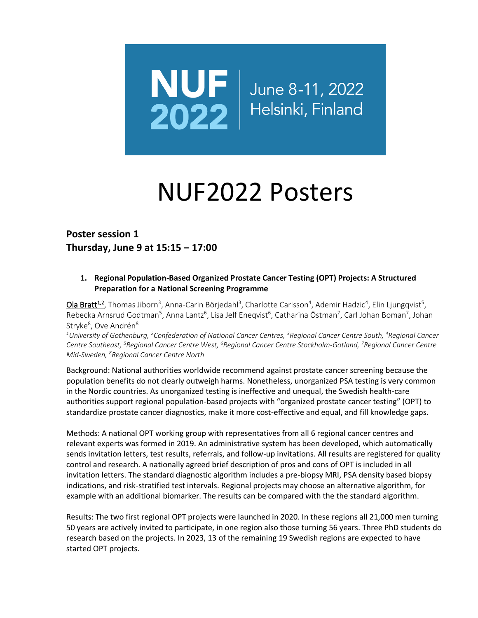

# NUF2022 Posters

**Poster session 1 Thursday, June 9 at 15:15 – 17:00**

## **1. Regional Population-Based Organized Prostate Cancer Testing (OPT) Projects: A Structured Preparation for a National Screening Programme**

Ola Bratt<sup>1,2</sup>, Thomas Jiborn<sup>3</sup>, Anna-Carin Börjedahl<sup>3</sup>, Charlotte Carlsson<sup>4</sup>, Ademir Hadzic<sup>4</sup>, Elin Ljungqvist<sup>5</sup>, Rebecka Arnsrud Godtman<sup>5</sup>, Anna Lantz<sup>6</sup>, Lisa Jelf Eneqvist<sup>6</sup>, Catharina Östman<sup>7</sup>, Carl Johan Boman<sup>7</sup>, Johan Stryke<sup>8</sup>, Ove Andrén<sup>8</sup>

*<sup>1</sup>University of Gothenburg, <sup>2</sup>Confederation of National Cancer Centres, <sup>3</sup>Regional Cancer Centre South, <sup>4</sup>Regional Cancer Centre Southeast, <sup>5</sup>Regional Cancer Centre West, <sup>6</sup>Regional Cancer Centre Stockholm-Gotland, <sup>7</sup>Regional Cancer Centre Mid-Sweden, <sup>8</sup>Regional Cancer Centre North*

Background: National authorities worldwide recommend against prostate cancer screening because the population benefits do not clearly outweigh harms. Nonetheless, unorganized PSA testing is very common in the Nordic countries. As unorganized testing is ineffective and unequal, the Swedish health-care authorities support regional population-based projects with "organized prostate cancer testing" (OPT) to standardize prostate cancer diagnostics, make it more cost-effective and equal, and fill knowledge gaps.

Methods: A national OPT working group with representatives from all 6 regional cancer centres and relevant experts was formed in 2019. An administrative system has been developed, which automatically sends invitation letters, test results, referrals, and follow-up invitations. All results are registered for quality control and research. A nationally agreed brief description of pros and cons of OPT is included in all invitation letters. The standard diagnostic algorithm includes a pre-biopsy MRI, PSA density based biopsy indications, and risk-stratified test intervals. Regional projects may choose an alternative algorithm, for example with an additional biomarker. The results can be compared with the the standard algorithm.

Results: The two first regional OPT projects were launched in 2020. In these regions all 21,000 men turning 50 years are actively invited to participate, in one region also those turning 56 years. Three PhD students do research based on the projects. In 2023, 13 of the remaining 19 Swedish regions are expected to have started OPT projects.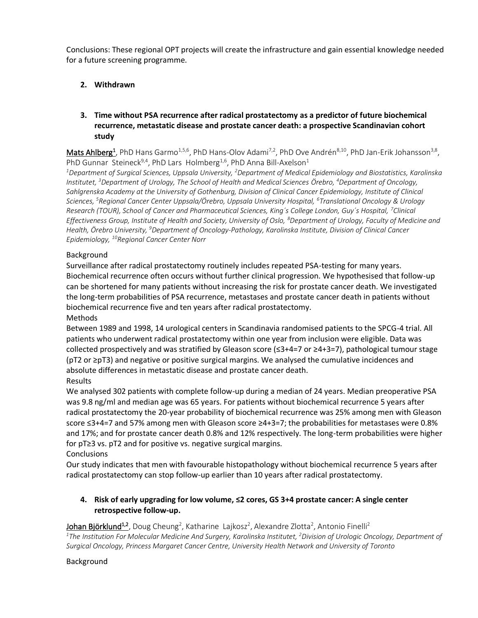Conclusions: These regional OPT projects will create the infrastructure and gain essential knowledge needed for a future screening programme.

## **2. Withdrawn**

## **3. Time without PSA recurrence after radical prostatectomy as a predictor of future biochemical recurrence, metastatic disease and prostate cancer death: a prospective Scandinavian cohort study**

Mats Ahlberg<sup>1</sup>, PhD Hans Garmo<sup>1,5,6</sup>, PhD Hans-Olov Adami<sup>7,2</sup>, PhD Ove Andrén<sup>8,10</sup>, PhD Jan-Erik Johansson<sup>3,8</sup>, PhD Gunnar Steineck<sup>9,4</sup>, PhD Lars Holmberg<sup>1,6</sup>, PhD Anna Bill-Axelson<sup>1</sup>

*<sup>1</sup>Department of Surgical Sciences, Uppsala University, <sup>2</sup>Department of Medical Epidemiology and Biostatistics, Karolinska Institutet, <sup>3</sup>Department of Urology, The School of Health and Medical Sciences Örebro, <sup>4</sup>Department of Oncology, Sahlgrenska Academy at the University of Gothenburg, Division of Clinical Cancer Epidemiology, Institute of Clinical Sciences, <sup>5</sup>Regional Cancer Center Uppsala/Örebro, Uppsala University Hospital, <sup>6</sup>Translational Oncology & Urology Research (TOUR), School of Cancer and Pharmaceutical Sciences, King´s College London, Guy´s Hospital, <sup>7</sup>Clinical Effectiveness Group, Institute of Health and Society, University of Oslo, <sup>8</sup>Department of Urology, Faculty of Medicine and Health, Örebro University, <sup>9</sup>Department of Oncology-Pathology, Karolinska Institute, Division of Clinical Cancer Epidemiology, <sup>10</sup>Regional Cancer Center Norr*

## Background

Surveillance after radical prostatectomy routinely includes repeated PSA-testing for many years. Biochemical recurrence often occurs without further clinical progression. We hypothesised that follow-up can be shortened for many patients without increasing the risk for prostate cancer death. We investigated the long-term probabilities of PSA recurrence, metastases and prostate cancer death in patients without biochemical recurrence five and ten years after radical prostatectomy. Methods

Between 1989 and 1998, 14 urological centers in Scandinavia randomised patients to the SPCG-4 trial. All patients who underwent radical prostatectomy within one year from inclusion were eligible. Data was collected prospectively and was stratified by Gleason score (≤3+4=7 or ≥4+3=7), pathological tumour stage (pT2 or ≥pT3) and negative or positive surgical margins. We analysed the cumulative incidences and absolute differences in metastatic disease and prostate cancer death. Results

We analysed 302 patients with complete follow-up during a median of 24 years. Median preoperative PSA was 9.8 ng/ml and median age was 65 years. For patients without biochemical recurrence 5 years after radical prostatectomy the 20-year probability of biochemical recurrence was 25% among men with Gleason score ≤3+4=7 and 57% among men with Gleason score ≥4+3=7; the probabilities for metastases were 0.8% and 17%; and for prostate cancer death 0.8% and 12% respectively. The long-term probabilities were higher for pT≥3 vs. pT2 and for positive vs. negative surgical margins.

**Conclusions** 

Our study indicates that men with favourable histopathology without biochemical recurrence 5 years after radical prostatectomy can stop follow-up earlier than 10 years after radical prostatectomy.

## **4. Risk of early upgrading for low volume, ≤2 cores, GS 3+4 prostate cancer: A single center retrospective follow-up.**

Johan Björklund<sup>1,2</sup>, Doug Cheung<sup>2</sup>, Katharine Lajkosz<sup>2</sup>, Alexandre Zlotta<sup>2</sup>, Antonio Finelli<sup>2</sup> <sup>1</sup>*The Institution For Molecular Medicine And Surgery, Karolinska Institutet, <sup>2</sup>Division of Urologic Oncology, Department of Surgical Oncology, Princess Margaret Cancer Centre, University Health Network and University of Toronto*

## Background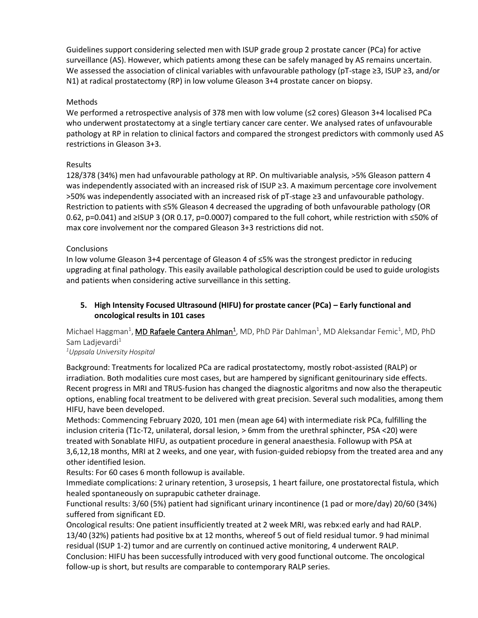Guidelines support considering selected men with ISUP grade group 2 prostate cancer (PCa) for active surveillance (AS). However, which patients among these can be safely managed by AS remains uncertain. We assessed the association of clinical variables with unfavourable pathology (pT-stage ≥3, ISUP ≥3, and/or N1) at radical prostatectomy (RP) in low volume Gleason 3+4 prostate cancer on biopsy.

## **Methods**

We performed a retrospective analysis of 378 men with low volume (≤2 cores) Gleason 3+4 localised PCa who underwent prostatectomy at a single tertiary cancer care center. We analysed rates of unfavourable pathology at RP in relation to clinical factors and compared the strongest predictors with commonly used AS restrictions in Gleason 3+3.

## Results

128/378 (34%) men had unfavourable pathology at RP. On multivariable analysis, >5% Gleason pattern 4 was independently associated with an increased risk of ISUP ≥3. A maximum percentage core involvement >50% was independently associated with an increased risk of pT-stage ≥3 and unfavourable pathology. Restriction to patients with ≤5% Gleason 4 decreased the upgrading of both unfavourable pathology (OR 0.62, p=0.041) and ≥ISUP 3 (OR 0.17, p=0.0007) compared to the full cohort, while restriction with ≤50% of max core involvement nor the compared Gleason 3+3 restrictions did not.

## **Conclusions**

In low volume Gleason 3+4 percentage of Gleason 4 of ≤5% was the strongest predictor in reducing upgrading at final pathology. This easily available pathological description could be used to guide urologists and patients when considering active surveillance in this setting.

## **5. High Intensity Focused Ultrasound (HIFU) for prostate cancer (PCa) – Early functional and oncological results in 101 cases**

Michael Haggman<sup>1</sup>, **MD Rafaele Cantera Ahlman<sup>1</sup>**, MD, PhD Pär Dahlman<sup>1</sup>, MD Aleksandar Femic<sup>1</sup>, MD, PhD Sam Ladjevardi<sup>1</sup>

#### *<sup>1</sup>Uppsala University Hospital*

Background: Treatments for localized PCa are radical prostatectomy, mostly robot-assisted (RALP) or irradiation. Both modalities cure most cases, but are hampered by significant genitourinary side effects. Recent progress in MRI and TRUS-fusion has changed the diagnostic algoritms and now also the therapeutic options, enabling focal treatment to be delivered with great precision. Several such modalities, among them HIFU, have been developed.

Methods: Commencing February 2020, 101 men (mean age 64) with intermediate risk PCa, fulfilling the inclusion criteria (T1c-T2, unilateral, dorsal lesion, > 6mm from the urethral sphincter, PSA <20) were treated with Sonablate HIFU, as outpatient procedure in general anaesthesia. Followup with PSA at 3,6,12,18 months, MRI at 2 weeks, and one year, with fusion-guided rebiopsy from the treated area and any other identified lesion.

Results: For 60 cases 6 month followup is available.

Immediate complications: 2 urinary retention, 3 urosepsis, 1 heart failure, one prostatorectal fistula, which healed spontaneously on suprapubic catheter drainage.

Functional results: 3/60 (5%) patient had significant urinary incontinence (1 pad or more/day) 20/60 (34%) suffered from significant ED.

Oncological results: One patient insufficiently treated at 2 week MRI, was rebx:ed early and had RALP. 13/40 (32%) patients had positive bx at 12 months, whereof 5 out of field residual tumor. 9 had minimal residual (ISUP 1-2) tumor and are currently on continued active monitoring, 4 underwent RALP. Conclusion: HIFU has been successfully introduced with very good functional outcome. The oncological follow-up is short, but results are comparable to contemporary RALP series.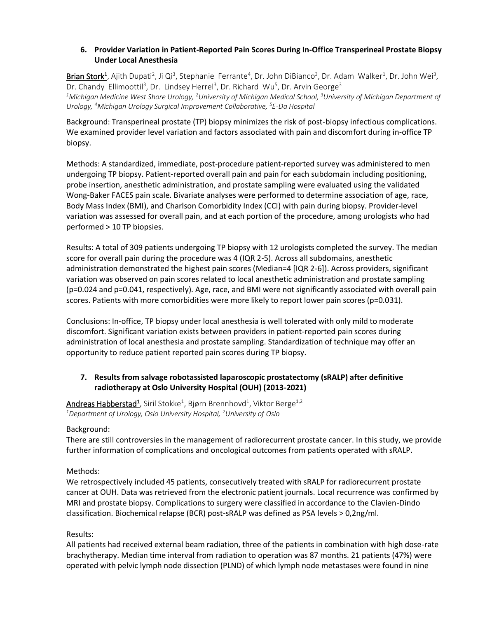## **6. Provider Variation in Patient-Reported Pain Scores During In-Office Transperineal Prostate Biopsy Under Local Anesthesia**

Brian Stork<sup>1</sup>, Ajith Dupati<sup>2</sup>, Ji Qi<sup>3</sup>, Stephanie Ferrante<sup>4</sup>, Dr. John DiBianco<sup>3</sup>, Dr. Adam Walker<sup>1</sup>, Dr. John Wei<sup>3</sup>, Dr. Chandy Ellimoottil<sup>3</sup>, Dr. Lindsey Herrel<sup>3</sup>, Dr. Richard Wu<sup>5</sup>, Dr. Arvin George<sup>3</sup> *<sup>1</sup>Michigan Medicine West Shore Urology, <sup>2</sup>University of Michigan Medical School, <sup>3</sup>University of Michigan Department of Urology, <sup>4</sup>Michigan Urology Surgical Improvement Collaborative, <sup>5</sup>E-Da Hospital* 

Background: Transperineal prostate (TP) biopsy minimizes the risk of post-biopsy infectious complications. We examined provider level variation and factors associated with pain and discomfort during in-office TP biopsy.

Methods: A standardized, immediate, post-procedure patient-reported survey was administered to men undergoing TP biopsy. Patient-reported overall pain and pain for each subdomain including positioning, probe insertion, anesthetic administration, and prostate sampling were evaluated using the validated Wong-Baker FACES pain scale. Bivariate analyses were performed to determine association of age, race, Body Mass Index (BMI), and Charlson Comorbidity Index (CCI) with pain during biopsy. Provider-level variation was assessed for overall pain, and at each portion of the procedure, among urologists who had performed > 10 TP biopsies.

Results: A total of 309 patients undergoing TP biopsy with 12 urologists completed the survey. The median score for overall pain during the procedure was 4 (IQR 2-5). Across all subdomains, anesthetic administration demonstrated the highest pain scores (Median=4 [IQR 2-6]). Across providers, significant variation was observed on pain scores related to local anesthetic administration and prostate sampling (p=0.024 and p=0.041, respectively). Age, race, and BMI were not significantly associated with overall pain scores. Patients with more comorbidities were more likely to report lower pain scores (p=0.031).

Conclusions: In-office, TP biopsy under local anesthesia is well tolerated with only mild to moderate discomfort. Significant variation exists between providers in patient-reported pain scores during administration of local anesthesia and prostate sampling. Standardization of technique may offer an opportunity to reduce patient reported pain scores during TP biopsy.

## **7. Results from salvage robotassisted laparoscopic prostatectomy (sRALP) after definitive radiotherapy at Oslo University Hospital (OUH) (2013-2021)**

 $\textsf{Andreas Habserstad}^1$ , Siril Stokke $^1$ , Bjørn Brennhovd $^1$ , Viktor Berge $^{1,2}$ *<sup>1</sup>Department of Urology, Oslo University Hospital, <sup>2</sup>University of Oslo*

## Background:

There are still controversies in the management of radiorecurrent prostate cancer. In this study, we provide further information of complications and oncological outcomes from patients operated with sRALP.

## Methods:

We retrospectively included 45 patients, consecutively treated with sRALP for radiorecurrent prostate cancer at OUH. Data was retrieved from the electronic patient journals. Local recurrence was confirmed by MRI and prostate biopsy. Complications to surgery were classified in accordance to the Clavien-Dindo classification. Biochemical relapse (BCR) post-sRALP was defined as PSA levels > 0,2ng/ml.

#### Results:

All patients had received external beam radiation, three of the patients in combination with high dose-rate brachytherapy. Median time interval from radiation to operation was 87 months. 21 patients (47%) were operated with pelvic lymph node dissection (PLND) of which lymph node metastases were found in nine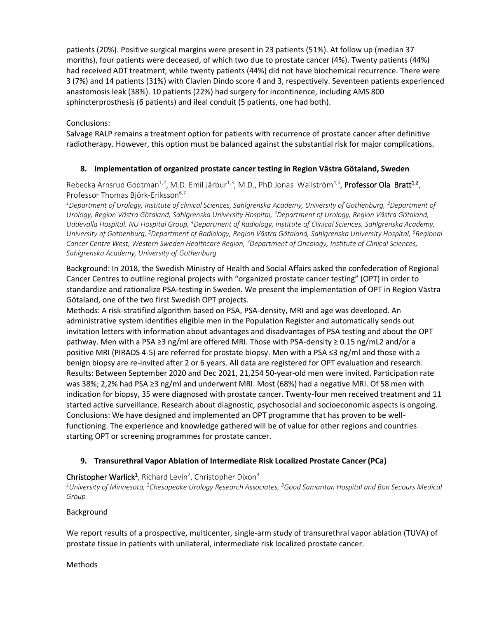patients (20%). Positive surgical margins were present in 23 patients (51%). At follow up (median 37 months), four patients were deceased, of which two due to prostate cancer (4%). Twenty patients (44%) had received ADT treatment, while twenty patients (44%) did not have biochemical recurrence. There were 3 (7%) and 14 patients (31%) with Clavien Dindo score 4 and 3, respectively. Seventeen patients experienced anastomosis leak (38%). 10 patients (22%) had surgery for incontinence, including AMS 800 sphincterprosthesis (6 patients) and ileal conduit (5 patients, one had both).

## Conclusions:

Salvage RALP remains a treatment option for patients with recurrence of prostate cancer after definitive radiotherapy. However, this option must be balanced against the substantial risk for major complications.

## **8. Implementation of organized prostate cancer testing in Region Västra Götaland, Sweden**

Rebecka Arnsrud Godtman<sup>1,2</sup>, M.D. Emil Järbur<sup>1,3</sup>, M.D., PhD Jonas Wallström<sup>4,5</sup>, Professor Ola Bratt<sup>1,2</sup>, Professor Thomas Biörk-Eriksson<sup>6,7</sup>

*<sup>1</sup>Department of Urology, Institute of clinical Sciences, Sahlgrenska Academy, University of Gothenburg, <sup>2</sup>Department of Urology, Region Västra Götaland, Sahlgrenska University Hospital, <sup>3</sup>Department of Urology, Region Västra Götaland, Uddevalla Hospital, NU Hospital Group, <sup>4</sup>Department of Radiology, Institute of Clinical Sciences, Sahlgrenska Academy, University of Gothenburg,* <sup>5</sup>*Department of Radiology, Region Västra Götaland, Sahlgrenska University Hospital, <sup>6</sup>Regional Cancer Centre West, Western Sweden Healthcare Region, <sup>7</sup>Department of Oncology, Institute of Clinical Sciences, Sahlgrenska Academy, University of Gothenburg*

Background: In 2018, the Swedish Ministry of Health and Social Affairs asked the confederation of Regional Cancer Centres to outline regional projects with "organized prostate cancer testing" (OPT) in order to standardize and rationalize PSA-testing in Sweden. We present the implementation of OPT in Region Västra Götaland, one of the two first Swedish OPT projects.

Methods: A risk-stratified algorithm based on PSA, PSA-density, MRI and age was developed. An administrative system identifies eligible men in the Population Register and automatically sends out invitation letters with information about advantages and disadvantages of PSA testing and about the OPT pathway. Men with a PSA ≥3 ng/ml are offered MRI. Those with PSA-density ≥ 0.15 ng/mL2 and/or a positive MRI (PIRADS 4-5) are referred for prostate biopsy. Men with a PSA ≤3 ng/ml and those with a benign biopsy are re-invited after 2 or 6 years. All data are registered for OPT evaluation and research. Results: Between September 2020 and Dec 2021, 21,254 50-year-old men were invited. Participation rate was 38%; 2,2% had PSA ≥3 ng/ml and underwent MRI. Most (68%) had a negative MRI. Of 58 men with indication for biopsy, 35 were diagnosed with prostate cancer. Twenty-four men received treatment and 11 started active surveillance. Research about diagnostic, psychosocial and socioeconomic aspects is ongoing. Conclusions: We have designed and implemented an OPT programme that has proven to be wellfunctioning. The experience and knowledge gathered will be of value for other regions and countries starting OPT or screening programmes for prostate cancer.

## **9. Transurethral Vapor Ablation of Intermediate Risk Localized Prostate Cancer (PCa)**

## Christopher Warlick<sup>1</sup>, Richard Levin<sup>2</sup>, Christopher Dixon<sup>3</sup>

*<sup>1</sup>University of Minnesota, <sup>2</sup>Chesapeake Urology Research Associates, <sup>3</sup>Good Samaritan Hospital and Bon Secours Medical Group*

#### Background

We report results of a prospective, multicenter, single-arm study of transurethral vapor ablation (TUVA) of prostate tissue in patients with unilateral, intermediate risk localized prostate cancer.

Methods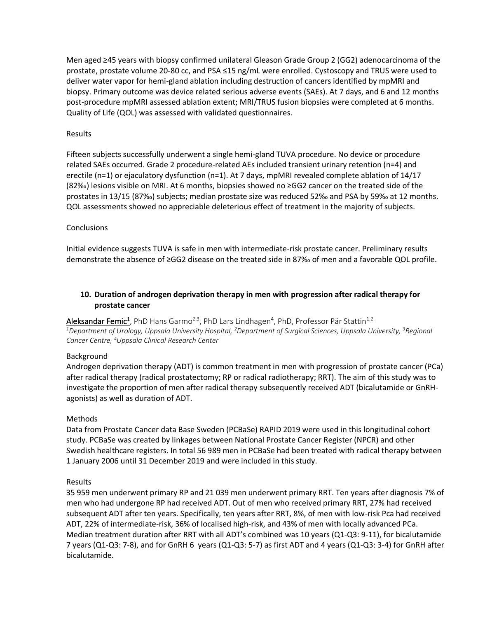Men aged ≥45 years with biopsy confirmed unilateral Gleason Grade Group 2 (GG2) adenocarcinoma of the prostate, prostate volume 20-80 cc, and PSA ≤15 ng/mL were enrolled. Cystoscopy and TRUS were used to deliver water vapor for hemi-gland ablation including destruction of cancers identified by mpMRI and biopsy. Primary outcome was device related serious adverse events (SAEs). At 7 days, and 6 and 12 months post-procedure mpMRI assessed ablation extent; MRI/TRUS fusion biopsies were completed at 6 months. Quality of Life (QOL) was assessed with validated questionnaires.

#### Results

Fifteen subjects successfully underwent a single hemi-gland TUVA procedure. No device or procedure related SAEs occurred. Grade 2 procedure-related AEs included transient urinary retention (n=4) and erectile (n=1) or ejaculatory dysfunction (n=1). At 7 days, mpMRI revealed complete ablation of 14/17 (82‰) lesions visible on MRI. At 6 months, biopsies showed no ≥GG2 cancer on the treated side of the prostates in 13/15 (87‰) subjects; median prostate size was reduced 52‰ and PSA by 59‰ at 12 months. QOL assessments showed no appreciable deleterious effect of treatment in the majority of subjects.

#### **Conclusions**

Initial evidence suggests TUVA is safe in men with intermediate-risk prostate cancer. Preliminary results demonstrate the absence of ≥GG2 disease on the treated side in 87‰ of men and a favorable QOL profile.

## **10. Duration of androgen deprivation therapy in men with progression after radical therapy for prostate cancer**

**Aleksandar Femic<sup>1</sup>,** PhD Hans Garmo<sup>2,3</sup>, PhD Lars Lindhagen<sup>4</sup>, PhD, Professor Pär Stattin<sup>1,2</sup> *<sup>1</sup>Department of Urology, Uppsala University Hospital, <sup>2</sup>Department of Surgical Sciences, Uppsala University, <sup>3</sup>Regional Cancer Centre, <sup>4</sup>Uppsala Clinical Research Center*

#### Background

Androgen deprivation therapy (ADT) is common treatment in men with progression of prostate cancer (PCa) after radical therapy (radical prostatectomy; RP or radical radiotherapy; RRT). The aim of this study was to investigate the proportion of men after radical therapy subsequently received ADT (bicalutamide or GnRHagonists) as well as duration of ADT.

#### Methods

Data from Prostate Cancer data Base Sweden (PCBaSe) RAPID 2019 were used in this longitudinal cohort study. PCBaSe was created by linkages between National Prostate Cancer Register (NPCR) and other Swedish healthcare registers. In total 56 989 men in PCBaSe had been treated with radical therapy between 1 January 2006 until 31 December 2019 and were included in this study.

#### Results

35 959 men underwent primary RP and 21 039 men underwent primary RRT. Ten years after diagnosis 7% of men who had undergone RP had received ADT. Out of men who received primary RRT, 27% had received subsequent ADT after ten years. Specifically, ten years after RRT, 8%, of men with low-risk Pca had received ADT, 22% of intermediate-risk, 36% of localised high-risk, and 43% of men with locally advanced PCa. Median treatment duration after RRT with all ADT's combined was 10 years (Q1-Q3: 9-11), for bicalutamide 7 years (Q1-Q3: 7-8), and for GnRH 6 years (Q1-Q3: 5-7) as first ADT and 4 years (Q1-Q3: 3-4) for GnRH after bicalutamide.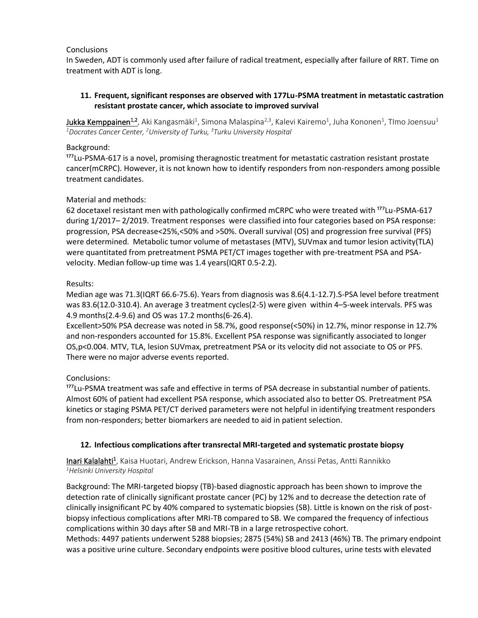#### **Conclusions**

In Sweden, ADT is commonly used after failure of radical treatment, especially after failure of RRT. Time on treatment with ADT is long.

## **11. Frequent, significant responses are observed with 177Lu-PSMA treatment in metastatic castration resistant prostate cancer, which associate to improved survival**

 ${\sf Jukka~Kemppainen}^{1,2}$ , Aki Kangasmäki $^1$ , Simona Malaspina $^{2,3}$ , Kalevi Kairemo $^1$ , Juha Kononen $^1$ , TImo Joensuu $^1$ *<sup>1</sup>Docrates Cancer Center, <sup>2</sup>University of Turku, <sup>3</sup>Turku University Hospital*

#### Background:

<sup>177</sup>Lu-PSMA-617 is a novel, promising theragnostic treatment for metastatic castration resistant prostate cancer(mCRPC). However, it is not known how to identify responders from non-responders among possible treatment candidates.

## Material and methods:

62 docetaxel resistant men with pathologically confirmed mCRPC who were treated with <sup>177</sup>Lu-PSMA-617 during 1/2017– 2/2019. Treatment responses were classified into four categories based on PSA response: progression, PSA decrease<25%,<50% and >50%. Overall survival (OS) and progression free survival (PFS) were determined. Metabolic tumor volume of metastases (MTV), SUVmax and tumor lesion activity(TLA) were quantitated from pretreatment PSMA PET/CT images together with pre-treatment PSA and PSAvelocity. Median follow-up time was 1.4 years(IQRT 0.5-2.2).

## Results:

Median age was 71.3(IQRT 66.6-75.6). Years from diagnosis was 8.6(4.1-12.7).S-PSA level before treatment was 83.6(12.0-310.4). An average 3 treatment cycles(2-5) were given within 4–5-week intervals. PFS was 4.9 months(2.4-9.6) and OS was 17.2 months(6-26.4).

Excellent>50% PSA decrease was noted in 58.7%, good response(<50%) in 12.7%, minor response in 12.7% and non-responders accounted for 15.8%. Excellent PSA response was significantly associated to longer OS,p<0.004. MTV, TLA, lesion SUVmax, pretreatment PSA or its velocity did not associate to OS or PFS. There were no major adverse events reported.

## Conclusions:

<sup>177</sup>Lu-PSMA treatment was safe and effective in terms of PSA decrease in substantial number of patients. Almost 60% of patient had excellent PSA response, which associated also to better OS. Pretreatment PSA kinetics or staging PSMA PET/CT derived parameters were not helpful in identifying treatment responders from non-responders; better biomarkers are needed to aid in patient selection.

## **12. Infectious complications after transrectal MRI-targeted and systematic prostate biopsy**

Inari Kalalahti<sup>1</sup>, Kaisa Huotari, Andrew Erickson, Hanna Vasarainen, Anssi Petas, Antti Rannikko *<sup>1</sup>Helsinki University Hospital*

Background: The MRI-targeted biopsy (TB)-based diagnostic approach has been shown to improve the detection rate of clinically significant prostate cancer (PC) by 12% and to decrease the detection rate of clinically insignificant PC by 40% compared to systematic biopsies (SB). Little is known on the risk of postbiopsy infectious complications after MRI-TB compared to SB. We compared the frequency of infectious complications within 30 days after SB and MRI-TB in a large retrospective cohort.

Methods: 4497 patients underwent 5288 biopsies; 2875 (54%) SB and 2413 (46%) TB. The primary endpoint was a positive urine culture. Secondary endpoints were positive blood cultures, urine tests with elevated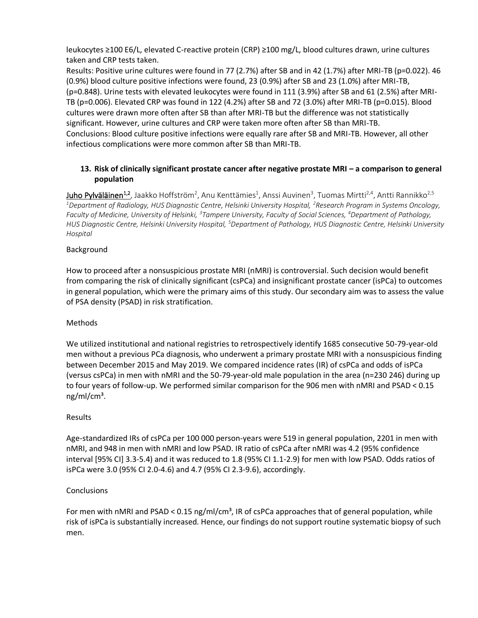leukocytes ≥100 E6/L, elevated C-reactive protein (CRP) ≥100 mg/L, blood cultures drawn, urine cultures taken and CRP tests taken.

Results: Positive urine cultures were found in 77 (2.7%) after SB and in 42 (1.7%) after MRI-TB (p=0.022). 46 (0.9%) blood culture positive infections were found, 23 (0.9%) after SB and 23 (1.0%) after MRI-TB, (p=0.848). Urine tests with elevated leukocytes were found in 111 (3.9%) after SB and 61 (2.5%) after MRI-TB (p=0.006). Elevated CRP was found in 122 (4.2%) after SB and 72 (3.0%) after MRI-TB (p=0.015). Blood cultures were drawn more often after SB than after MRI-TB but the difference was not statistically significant. However, urine cultures and CRP were taken more often after SB than MRI-TB. Conclusions: Blood culture positive infections were equally rare after SB and MRI-TB. However, all other infectious complications were more common after SB than MRI-TB.

## **13. Risk of clinically significant prostate cancer after negative prostate MRI – a comparison to general population**

 ${\sf Unho}$  Pylväläinen<sup>1,2</sup>, Jaakko Hoffström<sup>2</sup>, Anu Kenttämies<sup>1</sup>, Anssi Auvinen<sup>3</sup>, Tuomas Mirtti<sup>2,4</sup>, Antti Rannikko<sup>2,5</sup> *<sup>1</sup>Department of Radiology, HUS Diagnostic Centre, Helsinki University Hospital, <sup>2</sup>Research Program in Systems Oncology, Faculty of Medicine, University of Helsinki, <sup>3</sup>Tampere University, Faculty of Social Sciences, <sup>4</sup>Department of Pathology, HUS Diagnostic Centre, Helsinki University Hospital, <sup>5</sup>Department of Pathology, HUS Diagnostic Centre, Helsinki University Hospital*

## Background

How to proceed after a nonsuspicious prostate MRI (nMRI) is controversial. Such decision would benefit from comparing the risk of clinically significant (csPCa) and insignificant prostate cancer (isPCa) to outcomes in general population, which were the primary aims of this study. Our secondary aim was to assess the value of PSA density (PSAD) in risk stratification.

#### Methods

We utilized institutional and national registries to retrospectively identify 1685 consecutive 50-79-year-old men without a previous PCa diagnosis, who underwent a primary prostate MRI with a nonsuspicious finding between December 2015 and May 2019. We compared incidence rates (IR) of csPCa and odds of isPCa (versus csPCa) in men with nMRI and the 50-79-year-old male population in the area (n=230 246) during up to four years of follow-up. We performed similar comparison for the 906 men with nMRI and PSAD < 0.15 ng/ml/cm<sup>3</sup>.

#### Results

Age-standardized IRs of csPCa per 100 000 person-years were 519 in general population, 2201 in men with nMRI, and 948 in men with nMRI and low PSAD. IR ratio of csPCa after nMRI was 4.2 (95% confidence interval [95% CI] 3.3-5.4) and it was reduced to 1.8 (95% CI 1.1-2.9) for men with low PSAD. Odds ratios of isPCa were 3.0 (95% CI 2.0-4.6) and 4.7 (95% CI 2.3-9.6), accordingly.

#### **Conclusions**

For men with nMRI and PSAD < 0.15 ng/ml/cm<sup>3</sup>, IR of csPCa approaches that of general population, while risk of isPCa is substantially increased. Hence, our findings do not support routine systematic biopsy of such men.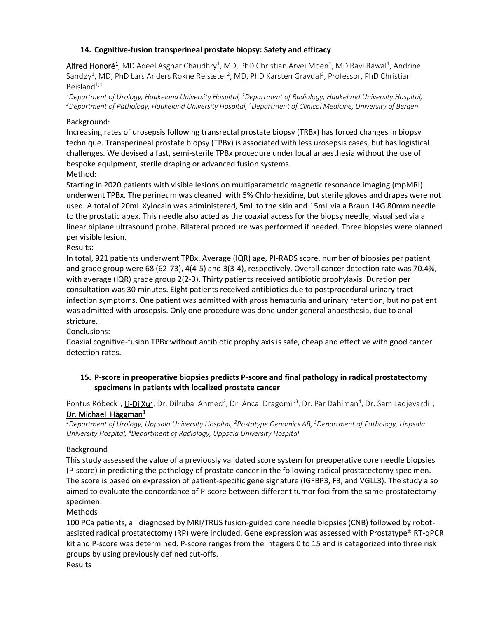## **14. Cognitive-fusion transperineal prostate biopsy: Safety and efficacy**

Alfred Honoré<sup>1</sup>, MD Adeel Asghar Chaudhry<sup>1</sup>, MD, PhD Christian Arvei Moen<sup>1</sup>, MD Ravi Rawal<sup>1</sup>, Andrine Sandøy<sup>1</sup>, MD, PhD Lars Anders Rokne Reisæter<sup>2</sup>, MD, PhD Karsten Gravdal<sup>3</sup>, Professor, PhD Christian Beisland $1,4$ 

*<sup>1</sup>Department of Urology, Haukeland University Hospital, <sup>2</sup>Department of Radiology, Haukeland University Hospital, <sup>3</sup>Department of Pathology, Haukeland University Hospital, <sup>4</sup>Department of Clinical Medicine, University of Bergen*

## Background:

Increasing rates of urosepsis following transrectal prostate biopsy (TRBx) has forced changes in biopsy technique. Transperineal prostate biopsy (TPBx) is associated with less urosepsis cases, but has logistical challenges. We devised a fast, semi-sterile TPBx procedure under local anaesthesia without the use of bespoke equipment, sterile draping or advanced fusion systems. Method:

Starting in 2020 patients with visible lesions on multiparametric magnetic resonance imaging (mpMRI) underwent TPBx. The perineum was cleaned with 5% Chlorhexidine, but sterile gloves and drapes were not used. A total of 20mL Xylocain was administered, 5mL to the skin and 15mL via a Braun 14G 80mm needle to the prostatic apex. This needle also acted as the coaxial access for the biopsy needle, visualised via a linear biplane ultrasound probe. Bilateral procedure was performed if needed. Three biopsies were planned per visible lesion.

## Results:

In total, 921 patients underwent TPBx. Average (IQR) age, PI-RADS score, number of biopsies per patient and grade group were 68 (62-73), 4(4-5) and 3(3-4), respectively. Overall cancer detection rate was 70.4%, with average (IQR) grade group 2(2-3). Thirty patients received antibiotic prophylaxis. Duration per consultation was 30 minutes. Eight patients received antibiotics due to postprocedural urinary tract infection symptoms. One patient was admitted with gross hematuria and urinary retention, but no patient was admitted with urosepsis. Only one procedure was done under general anaesthesia, due to anal stricture.

Conclusions:

Coaxial cognitive-fusion TPBx without antibiotic prophylaxis is safe, cheap and effective with good cancer detection rates.

## **15. P-score in preoperative biopsies predicts P-score and final pathology in radical prostatectomy specimens in patients with localized prostate cancer**

Pontus Röbeck<sup>1</sup>, Li-Di Xu<sup>2</sup>, Dr. Dilruba Ahmed<sup>2</sup>, Dr. Anca Dragomir<sup>3</sup>, Dr. Pär Dahlman<sup>4</sup>, Dr. Sam Ladjevardi<sup>1</sup>, Dr. Michael Häggman<sup>1</sup>

*<sup>1</sup>Department of Urology, Uppsala University Hospital, <sup>2</sup>Postatype Genomics AB, <sup>3</sup>Department of Pathology, Uppsala University Hospital, <sup>4</sup>Department of Radiology, Uppsala University Hospital*

## Background

This study assessed the value of a previously validated score system for preoperative core needle biopsies (P-score) in predicting the pathology of prostate cancer in the following radical prostatectomy specimen. The score is based on expression of patient-specific gene signature (IGFBP3, F3, and VGLL3). The study also aimed to evaluate the concordance of P-score between different tumor foci from the same prostatectomy specimen.

#### Methods

100 PCa patients, all diagnosed by MRI/TRUS fusion-guided core needle biopsies (CNB) followed by robotassisted radical prostatectomy (RP) were included. Gene expression was assessed with Prostatype® RT-qPCR kit and P-score was determined. P-score ranges from the integers 0 to 15 and is categorized into three risk groups by using previously defined cut-offs.

Results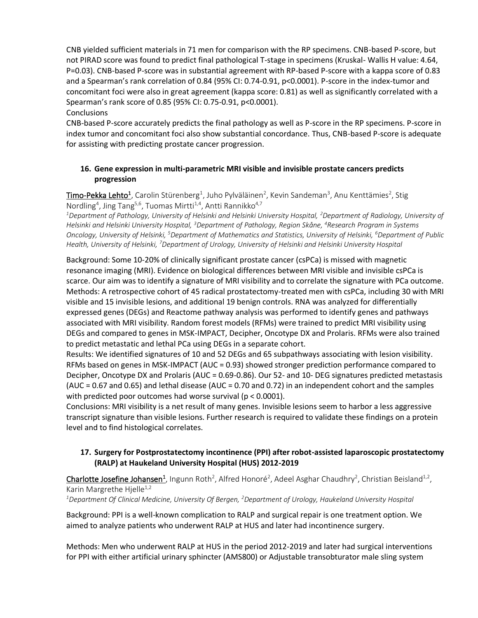CNB yielded sufficient materials in 71 men for comparison with the RP specimens. CNB-based P-score, but not PIRAD score was found to predict final pathological T-stage in specimens (Kruskal- Wallis H value: 4.64, P=0.03). CNB-based P-score was in substantial agreement with RP-based P-score with a kappa score of 0.83 and a Spearman's rank correlation of 0.84 (95% CI: 0.74-0.91, p<0.0001). P-score in the index-tumor and concomitant foci were also in great agreement (kappa score: 0.81) as well as significantly correlated with a Spearman's rank score of 0.85 (95% CI: 0.75-0.91, p<0.0001).

#### **Conclusions**

CNB-based P-score accurately predicts the final pathology as well as P-score in the RP specimens. P-score in index tumor and concomitant foci also show substantial concordance. Thus, CNB-based P-score is adequate for assisting with predicting prostate cancer progression.

## **16. Gene expression in multi-parametric MRI visible and invisible prostate cancers predicts progression**

 $\overline{\text{Timo-Pekka Lehto}^1}$ , Carolin Stürenberg<sup>1</sup>, Juho Pylväläinen<sup>2</sup>, Kevin Sandeman<sup>3</sup>, Anu Kenttämies<sup>2</sup>, Stig Nordling<sup>4</sup>, Jing Tang<sup>5,6</sup>, Tuomas Mirtti<sup>1,4</sup>, Antti Rannikko<sup>4,7</sup>

*<sup>1</sup>Department of Pathology, University of Helsinki and Helsinki University Hospital, <sup>2</sup>Department of Radiology, University of Helsinki and Helsinki University Hospital, <sup>3</sup>Department of Pathology, Region Skåne, <sup>4</sup>Research Program in Systems Oncology, University of Helsinki, <sup>5</sup>Department of Mathematics and Statistics, University of Helsinki, <sup>6</sup>Department of Public Health, University of Helsinki, <sup>7</sup>Department of Urology, University of Helsinki and Helsinki University Hospital*

Background: Some 10-20% of clinically significant prostate cancer (csPCa) is missed with magnetic resonance imaging (MRI). Evidence on biological differences between MRI visible and invisible csPCa is scarce. Our aim was to identify a signature of MRI visibility and to correlate the signature with PCa outcome. Methods: A retrospective cohort of 45 radical prostatectomy-treated men with csPCa, including 30 with MRI visible and 15 invisible lesions, and additional 19 benign controls. RNA was analyzed for differentially expressed genes (DEGs) and Reactome pathway analysis was performed to identify genes and pathways associated with MRI visibility. Random forest models (RFMs) were trained to predict MRI visibility using DEGs and compared to genes in MSK-IMPACT, Decipher, Oncotype DX and Prolaris. RFMs were also trained to predict metastatic and lethal PCa using DEGs in a separate cohort.

Results: We identified signatures of 10 and 52 DEGs and 65 subpathways associating with lesion visibility. RFMs based on genes in MSK-IMPACT (AUC = 0.93) showed stronger prediction performance compared to Decipher, Oncotype DX and Prolaris (AUC = 0.69-0.86). Our 52- and 10- DEG signatures predicted metastasis (AUC = 0.67 and 0.65) and lethal disease (AUC = 0.70 and 0.72) in an independent cohort and the samples with predicted poor outcomes had worse survival (p < 0.0001).

Conclusions: MRI visibility is a net result of many genes. Invisible lesions seem to harbor a less aggressive transcript signature than visible lesions. Further research is required to validate these findings on a protein level and to find histological correlates.

## **17. Surgery for Postprostatectomy incontinence (PPI) after robot-assisted laparoscopic prostatectomy (RALP) at Haukeland University Hospital (HUS) 2012-2019**

Charlotte Josefine Johansen<sup>1</sup>, Ingunn Roth<sup>2</sup>, Alfred Honoré<sup>2</sup>, Adeel Asghar Chaudhry<sup>2</sup>, Christian Beisland<sup>1,2</sup>, Karin Margrethe Hjelle<sup>1,2</sup>

*<sup>1</sup>Department Of Clinical Medicine, University Of Bergen, <sup>2</sup>Department of Urology, Haukeland University Hospital*

Background: PPI is a well-known complication to RALP and surgical repair is one treatment option. We aimed to analyze patients who underwent RALP at HUS and later had incontinence surgery.

Methods: Men who underwent RALP at HUS in the period 2012-2019 and later had surgical interventions for PPI with either artificial urinary sphincter (AMS800) or Adjustable transobturator male sling system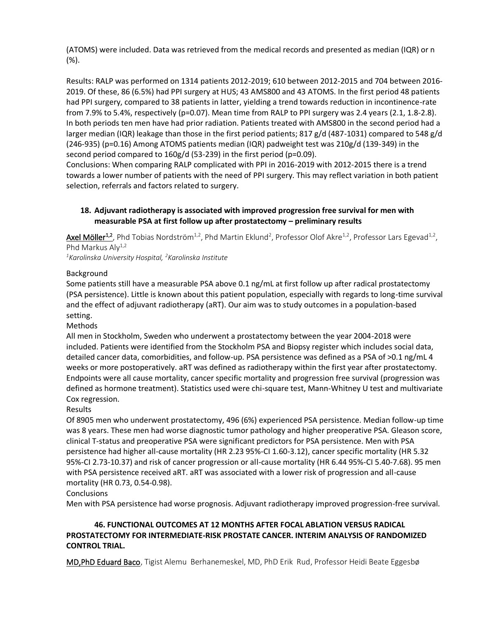(ATOMS) were included. Data was retrieved from the medical records and presented as median (IQR) or n (%).

Results: RALP was performed on 1314 patients 2012-2019; 610 between 2012-2015 and 704 between 2016- 2019. Of these, 86 (6.5%) had PPI surgery at HUS; 43 AMS800 and 43 ATOMS. In the first period 48 patients had PPI surgery, compared to 38 patients in latter, yielding a trend towards reduction in incontinence-rate from 7.9% to 5.4%, respectively (p=0.07). Mean time from RALP to PPI surgery was 2.4 years (2.1, 1.8-2.8). In both periods ten men have had prior radiation. Patients treated with AMS800 in the second period had a larger median (IQR) leakage than those in the first period patients; 817 g/d (487-1031) compared to 548 g/d (246-935) (p=0.16) Among ATOMS patients median (IQR) padweight test was 210g/d (139-349) in the second period compared to 160g/d (53-239) in the first period (p=0.09).

Conclusions: When comparing RALP complicated with PPI in 2016-2019 with 2012-2015 there is a trend towards a lower number of patients with the need of PPI surgery. This may reflect variation in both patient selection, referrals and factors related to surgery.

## **18. Adjuvant radiotherapy is associated with improved progression free survival for men with measurable PSA at first follow up after prostatectomy – preliminary results**

Axel Möller<sup>1,2</sup>, Phd Tobias Nordström<sup>1,2</sup>, Phd Martin Eklund<sup>2</sup>, Professor Olof Akre<sup>1,2</sup>, Professor Lars Egevad<sup>1,2</sup>, Phd Markus Aly<sup>1,2</sup>

*<sup>1</sup>Karolinska University Hospital, <sup>2</sup>Karolinska Institute*

## Background

Some patients still have a measurable PSA above 0.1 ng/mL at first follow up after radical prostatectomy (PSA persistence). Little is known about this patient population, especially with regards to long-time survival and the effect of adjuvant radiotherapy (aRT). Our aim was to study outcomes in a population-based setting.

Methods

All men in Stockholm, Sweden who underwent a prostatectomy between the year 2004-2018 were included. Patients were identified from the Stockholm PSA and Biopsy register which includes social data, detailed cancer data, comorbidities, and follow-up. PSA persistence was defined as a PSA of >0.1 ng/mL 4 weeks or more postoperatively. aRT was defined as radiotherapy within the first year after prostatectomy. Endpoints were all cause mortality, cancer specific mortality and progression free survival (progression was defined as hormone treatment). Statistics used were chi-square test, Mann-Whitney U test and multivariate Cox regression.

## Results

Of 8905 men who underwent prostatectomy, 496 (6%) experienced PSA persistence. Median follow-up time was 8 years. These men had worse diagnostic tumor pathology and higher preoperative PSA. Gleason score, clinical T-status and preoperative PSA were significant predictors for PSA persistence. Men with PSA persistence had higher all-cause mortality (HR 2.23 95%-CI 1.60-3.12), cancer specific mortality (HR 5.32 95%-CI 2.73-10.37) and risk of cancer progression or all-cause mortality (HR 6.44 95%-CI 5.40-7.68). 95 men with PSA persistence received aRT. aRT was associated with a lower risk of progression and all-cause mortality (HR 0.73, 0.54-0.98).

## **Conclusions**

Men with PSA persistence had worse prognosis. Adjuvant radiotherapy improved progression-free survival.

## **46. FUNCTIONAL OUTCOMES AT 12 MONTHS AFTER FOCAL ABLATION VERSUS RADICAL PROSTATECTOMY FOR INTERMEDIATE-RISK PROSTATE CANCER. INTERIM ANALYSIS OF RANDOMIZED CONTROL TRIAL.**

MD,PhD Eduard Baco, Tigist Alemu Berhanemeskel, MD, PhD Erik Rud, Professor Heidi Beate Eggesbø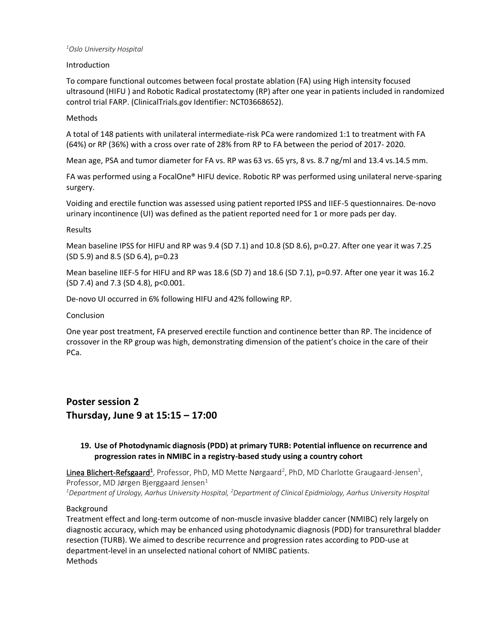#### *<sup>1</sup>Oslo University Hospital*

#### Introduction

To compare functional outcomes between focal prostate ablation (FA) using High intensity focused ultrasound (HIFU ) and Robotic Radical prostatectomy (RP) after one year in patients included in randomized control trial FARP. (ClinicalTrials.gov Identifier: NCT03668652).

#### Methods

A total of 148 patients with unilateral intermediate-risk PCa were randomized 1:1 to treatment with FA (64%) or RP (36%) with a cross over rate of 28% from RP to FA between the period of 2017- 2020.

Mean age, PSA and tumor diameter for FA vs. RP was 63 vs. 65 yrs, 8 vs. 8.7 ng/ml and 13.4 vs.14.5 mm.

FA was performed using a FocalOne® HIFU device. Robotic RP was performed using unilateral nerve-sparing surgery.

Voiding and erectile function was assessed using patient reported IPSS and IIEF-5 questionnaires. De-novo urinary incontinence (UI) was defined as the patient reported need for 1 or more pads per day.

#### Results

Mean baseline IPSS for HIFU and RP was 9.4 (SD 7.1) and 10.8 (SD 8.6), p=0.27. After one year it was 7.25 (SD 5.9) and 8.5 (SD 6.4), p=0.23

Mean baseline IIEF-5 for HIFU and RP was 18.6 (SD 7) and 18.6 (SD 7.1), p=0.97. After one year it was 16.2 (SD 7.4) and 7.3 (SD 4.8), p<0.001.

De-novo UI occurred in 6% following HIFU and 42% following RP.

#### Conclusion

One year post treatment, FA preserved erectile function and continence better than RP. The incidence of crossover in the RP group was high, demonstrating dimension of the patient's choice in the care of their PCa.

**Poster session 2 Thursday, June 9 at 15:15 – 17:00**

## **19. Use of Photodynamic diagnosis (PDD) at primary TURB: Potential influence on recurrence and progression rates in NMIBC in a registry-based study using a country cohort**

Linea Blichert-Refsgaard<sup>1</sup>, Professor, PhD, MD Mette Nørgaard<sup>2</sup>, PhD, MD Charlotte Graugaard-Jensen<sup>1</sup>, Professor, MD Jørgen Bjerggaard Jensen $<sup>1</sup>$ </sup> *<sup>1</sup>Department of Urology, Aarhus University Hospital, <sup>2</sup>Department of Clinical Epidmiology, Aarhus University Hospital*

Background

Treatment effect and long-term outcome of non-muscle invasive bladder cancer (NMIBC) rely largely on diagnostic accuracy, which may be enhanced using photodynamic diagnosis (PDD) for transurethral bladder resection (TURB). We aimed to describe recurrence and progression rates according to PDD-use at department-level in an unselected national cohort of NMIBC patients. Methods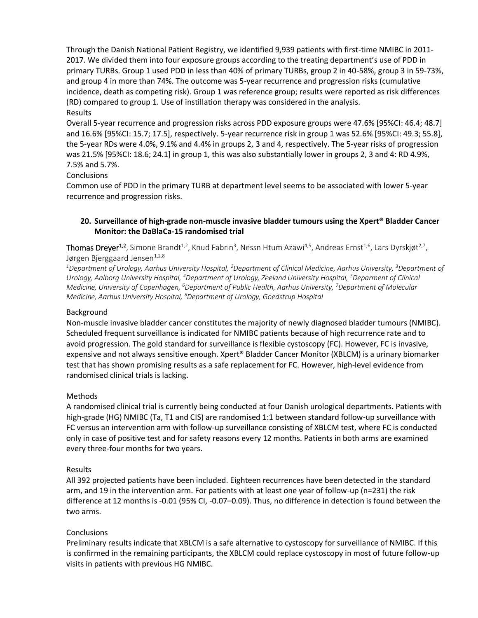Through the Danish National Patient Registry, we identified 9,939 patients with first-time NMIBC in 2011- 2017. We divided them into four exposure groups according to the treating department's use of PDD in primary TURBs. Group 1 used PDD in less than 40% of primary TURBs, group 2 in 40-58%, group 3 in 59-73%, and group 4 in more than 74%. The outcome was 5-year recurrence and progression risks (cumulative incidence, death as competing risk). Group 1 was reference group; results were reported as risk differences (RD) compared to group 1. Use of instillation therapy was considered in the analysis. Results

Overall 5-year recurrence and progression risks across PDD exposure groups were 47.6% [95%CI: 46.4; 48.7] and 16.6% [95%CI: 15.7; 17.5], respectively. 5-year recurrence risk in group 1 was 52.6% [95%CI: 49.3; 55.8], the 5-year RDs were 4.0%, 9.1% and 4.4% in groups 2, 3 and 4, respectively. The 5-year risks of progression was 21.5% [95%CI: 18.6; 24.1] in group 1, this was also substantially lower in groups 2, 3 and 4: RD 4.9%, 7.5% and 5.7%.

## **Conclusions**

Common use of PDD in the primary TURB at department level seems to be associated with lower 5-year recurrence and progression risks.

#### **20. Surveillance of high-grade non-muscle invasive bladder tumours using the Xpert® Bladder Cancer Monitor: the DaBlaCa-15 randomised trial**

Thomas Dreyer<sup>1,2</sup>, Simone Brandt<sup>1,2</sup>, Knud Fabrin<sup>3</sup>, Nessn Htum Azawi<sup>4,5</sup>, Andreas Ernst<sup>1,6</sup>, Lars Dyrskjøt<sup>2,7</sup>, Jørgen Bjerggaard Jensen $1,2,8$ 

*<sup>1</sup>Department of Urology, Aarhus University Hospital, <sup>2</sup>Department of Clinical Medicine, Aarhus University, <sup>3</sup>Department of Urology, Aalborg University Hospital, <sup>4</sup>Department of Urology, Zeeland University Hospital, <sup>5</sup>Deparment of Clinical Medicine, University of Copenhagen, <sup>6</sup>Department of Public Health, Aarhus University, <sup>7</sup>Department of Molecular Medicine, Aarhus University Hospital, <sup>8</sup>Department of Urology, Goedstrup Hospital*

#### Background

Non-muscle invasive bladder cancer constitutes the majority of newly diagnosed bladder tumours (NMIBC). Scheduled frequent surveillance is indicated for NMIBC patients because of high recurrence rate and to avoid progression. The gold standard for surveillance is flexible cystoscopy (FC). However, FC is invasive, expensive and not always sensitive enough. Xpert® Bladder Cancer Monitor (XBLCM) is a urinary biomarker test that has shown promising results as a safe replacement for FC. However, high-level evidence from randomised clinical trials is lacking.

#### Methods

A randomised clinical trial is currently being conducted at four Danish urological departments. Patients with high-grade (HG) NMIBC (Ta, T1 and CIS) are randomised 1:1 between standard follow-up surveillance with FC versus an intervention arm with follow-up surveillance consisting of XBLCM test, where FC is conducted only in case of positive test and for safety reasons every 12 months. Patients in both arms are examined every three-four months for two years.

#### Results

All 392 projected patients have been included. Eighteen recurrences have been detected in the standard arm, and 19 in the intervention arm. For patients with at least one year of follow-up (n=231) the risk difference at 12 months is -0.01 (95% CI, -0.07–0.09). Thus, no difference in detection is found between the two arms.

#### **Conclusions**

Preliminary results indicate that XBLCM is a safe alternative to cystoscopy for surveillance of NMIBC. If this is confirmed in the remaining participants, the XBLCM could replace cystoscopy in most of future follow-up visits in patients with previous HG NMIBC.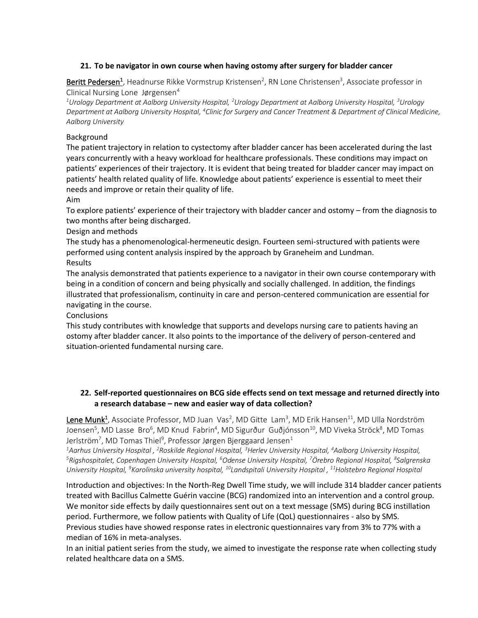## **21. To be navigator in own course when having ostomy after surgery for bladder cancer**

Beritt Pedersen<sup>1</sup>, Headnurse Rikke Vormstrup Kristensen<sup>2</sup>, RN Lone Christensen<sup>3</sup>, Associate professor in Clinical Nursing Lone Jørgensen $4$ 

*<sup>1</sup>Urology Department at Aalborg University Hospital, <sup>2</sup>Urology Department at Aalborg University Hospital, <sup>3</sup>Urology*  Department at Aalborg University Hospital, <sup>4</sup>Clinic for Surgery and Cancer Treatment & Department of Clinical Medicine, *Aalborg University*

#### Background

The patient trajectory in relation to cystectomy after bladder cancer has been accelerated during the last years concurrently with a heavy workload for healthcare professionals. These conditions may impact on patients' experiences of their trajectory. It is evident that being treated for bladder cancer may impact on patients' health related quality of life. Knowledge about patients' experience is essential to meet their needs and improve or retain their quality of life.

Aim

To explore patients' experience of their trajectory with bladder cancer and ostomy – from the diagnosis to two months after being discharged.

Design and methods

The study has a phenomenological-hermeneutic design. Fourteen semi-structured with patients were performed using content analysis inspired by the approach by Graneheim and Lundman. Results

The analysis demonstrated that patients experience to a navigator in their own course contemporary with being in a condition of concern and being physically and socially challenged. In addition, the findings illustrated that professionalism, continuity in care and person-centered communication are essential for navigating in the course.

Conclusions

This study contributes with knowledge that supports and develops nursing care to patients having an ostomy after bladder cancer. It also points to the importance of the delivery of person-centered and situation-oriented fundamental nursing care.

## **22. Self-reported questionnaires on BCG side effects send on text message and returned directly into a research database – new and easier way of data collection?**

Lene Munk<sup>1</sup>, Associate Professor, MD Juan Vas<sup>2</sup>, MD Gitte Lam<sup>3</sup>, MD Erik Hansen<sup>11</sup>, MD Ulla Nordström Joensen<sup>5</sup>, MD Lasse Bro<sup>6</sup>, MD Knud Fabrin<sup>4</sup>, MD Sigurður Guðjónsson<sup>10</sup>, MD Viveka Ströck<sup>8</sup>, MD Tomas Jerlström<sup>7</sup>, MD Tomas Thiel<sup>9</sup>, Professor Jørgen Bjerggaard Jensen $^{\text{1}}$ 

*<sup>1</sup>Aarhus University Hospital , <sup>2</sup>Roskilde Regional Hospital, <sup>3</sup>Herlev University Hospital, <sup>4</sup>Aalborg University Hospital, <sup>5</sup>Rigshospitalet, Copenhagen University Hospital, <sup>6</sup>Odense University Hospital, <sup>7</sup>Örebro Regional Hospital, <sup>8</sup> Salgrenska University Hospital, <sup>9</sup>Karolinska university hospital, <sup>10</sup>Landspitali University Hospital , <sup>11</sup>Holstebro Regional Hospital*

Introduction and objectives: In the North-Reg Dwell Time study, we will include 314 bladder cancer patients treated with Bacillus Calmette Guérin vaccine (BCG) randomized into an intervention and a control group. We monitor side effects by daily questionnaires sent out on a text message (SMS) during BCG instillation period. Furthermore, we follow patients with Quality of Life (QoL) questionnaires - also by SMS. Previous studies have showed response rates in electronic questionnaires vary from 3% to 77% with a median of 16% in meta-analyses.

In an initial patient series from the study, we aimed to investigate the response rate when collecting study related healthcare data on a SMS.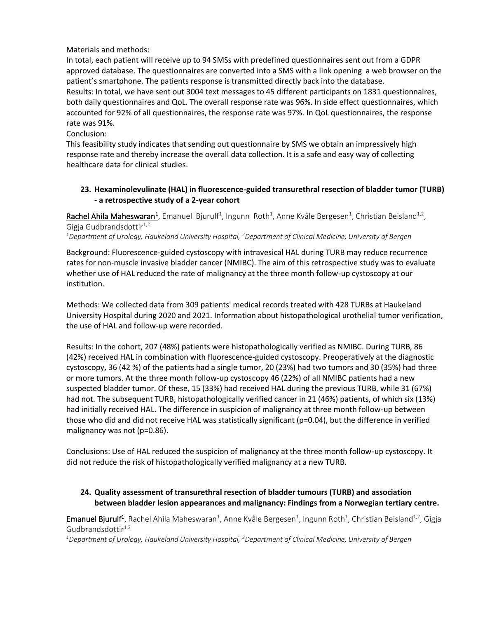## Materials and methods:

In total, each patient will receive up to 94 SMSs with predefined questionnaires sent out from a GDPR approved database. The questionnaires are converted into a SMS with a link opening a web browser on the patient's smartphone. The patients response is transmitted directly back into the database. Results: In total, we have sent out 3004 text messages to 45 different participants on 1831 questionnaires, both daily questionnaires and QoL. The overall response rate was 96%. In side effect questionnaires, which accounted for 92% of all questionnaires, the response rate was 97%. In QoL questionnaires, the response rate was 91%.

Conclusion:

This feasibility study indicates that sending out questionnaire by SMS we obtain an impressively high response rate and thereby increase the overall data collection. It is a safe and easy way of collecting healthcare data for clinical studies.

## **23. Hexaminolevulinate (HAL) in fluorescence-guided transurethral resection of bladder tumor (TURB) - a retrospective study of a 2-year cohort**

Rachel Ahila Maheswaran<sup>1</sup>, Emanuel Bjurulf<sup>1</sup>, Ingunn Roth<sup>1</sup>, Anne Kvåle Bergesen<sup>1</sup>, Christian Beisland<sup>1,2</sup>, Gigja Gudbrandsdottir $1,2$ 

*<sup>1</sup>Department of Urology, Haukeland University Hospital, <sup>2</sup>Department of Clinical Medicine, University of Bergen*

Background: Fluorescence-guided cystoscopy with intravesical HAL during TURB may reduce recurrence rates for non-muscle invasive bladder cancer (NMIBC). The aim of this retrospective study was to evaluate whether use of HAL reduced the rate of malignancy at the three month follow-up cystoscopy at our institution.

Methods: We collected data from 309 patients' medical records treated with 428 TURBs at Haukeland University Hospital during 2020 and 2021. Information about histopathological urothelial tumor verification, the use of HAL and follow-up were recorded.

Results: In the cohort, 207 (48%) patients were histopathologically verified as NMIBC. During TURB, 86 (42%) received HAL in combination with fluorescence-guided cystoscopy. Preoperatively at the diagnostic cystoscopy, 36 (42 %) of the patients had a single tumor, 20 (23%) had two tumors and 30 (35%) had three or more tumors. At the three month follow-up cystoscopy 46 (22%) of all NMIBC patients had a new suspected bladder tumor. Of these, 15 (33%) had received HAL during the previous TURB, while 31 (67%) had not. The subsequent TURB, histopathologically verified cancer in 21 (46%) patients, of which six (13%) had initially received HAL. The difference in suspicion of malignancy at three month follow-up between those who did and did not receive HAL was statistically significant (p=0.04), but the difference in verified malignancy was not (p=0.86).

Conclusions: Use of HAL reduced the suspicion of malignancy at the three month follow-up cystoscopy. It did not reduce the risk of histopathologically verified malignancy at a new TURB.

## **24. Quality assessment of transurethral resection of bladder tumours (TURB) and association between bladder lesion appearances and malignancy: Findings from a Norwegian tertiary centre.**

Emanuel Bjurulf<sup>1</sup>, Rachel Ahila Maheswaran<sup>1</sup>, Anne Kvåle Bergesen<sup>1</sup>, Ingunn Roth<sup>1</sup>, Christian Beisland<sup>1,2</sup>, Gigja Gudbrandsdottir $1,2$ 

*1Department of Urology, Haukeland University Hospital, 2Department of Clinical Medicine, University of Bergen*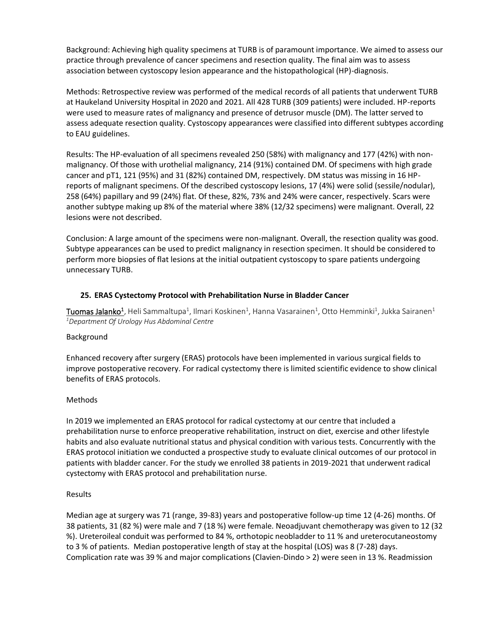Background: Achieving high quality specimens at TURB is of paramount importance. We aimed to assess our practice through prevalence of cancer specimens and resection quality. The final aim was to assess association between cystoscopy lesion appearance and the histopathological (HP)-diagnosis.

Methods: Retrospective review was performed of the medical records of all patients that underwent TURB at Haukeland University Hospital in 2020 and 2021. All 428 TURB (309 patients) were included. HP-reports were used to measure rates of malignancy and presence of detrusor muscle (DM). The latter served to assess adequate resection quality. Cystoscopy appearances were classified into different subtypes according to EAU guidelines.

Results: The HP-evaluation of all specimens revealed 250 (58%) with malignancy and 177 (42%) with nonmalignancy. Of those with urothelial malignancy, 214 (91%) contained DM. Of specimens with high grade cancer and pT1, 121 (95%) and 31 (82%) contained DM, respectively. DM status was missing in 16 HPreports of malignant specimens. Of the described cystoscopy lesions, 17 (4%) were solid (sessile/nodular), 258 (64%) papillary and 99 (24%) flat. Of these, 82%, 73% and 24% were cancer, respectively. Scars were another subtype making up 8% of the material where 38% (12/32 specimens) were malignant. Overall, 22 lesions were not described.

Conclusion: A large amount of the specimens were non-malignant. Overall, the resection quality was good. Subtype appearances can be used to predict malignancy in resection specimen. It should be considered to perform more biopsies of flat lesions at the initial outpatient cystoscopy to spare patients undergoing unnecessary TURB.

## **25. ERAS Cystectomy Protocol with Prehabilitation Nurse in Bladder Cancer**

 ${\tt Tuomas\,Jalanko^1}$ , Heli Sammaltupa<sup>1</sup>, Ilmari Koskinen<sup>1</sup>, Hanna Vasarainen<sup>1</sup>, Otto Hemminki<sup>1</sup>, Jukka Sairanen<sup>1</sup> *<sup>1</sup>Department Of Urology Hus Abdominal Centre*

#### Background

Enhanced recovery after surgery (ERAS) protocols have been implemented in various surgical fields to improve postoperative recovery. For radical cystectomy there is limited scientific evidence to show clinical benefits of ERAS protocols.

#### Methods

In 2019 we implemented an ERAS protocol for radical cystectomy at our centre that included a prehabilitation nurse to enforce preoperative rehabilitation, instruct on diet, exercise and other lifestyle habits and also evaluate nutritional status and physical condition with various tests. Concurrently with the ERAS protocol initiation we conducted a prospective study to evaluate clinical outcomes of our protocol in patients with bladder cancer. For the study we enrolled 38 patients in 2019-2021 that underwent radical cystectomy with ERAS protocol and prehabilitation nurse.

#### Results

Median age at surgery was 71 (range, 39-83) years and postoperative follow-up time 12 (4-26) months. Of 38 patients, 31 (82 %) were male and 7 (18 %) were female. Neoadjuvant chemotherapy was given to 12 (32 %). Ureteroileal conduit was performed to 84 %, orthotopic neobladder to 11 % and ureterocutaneostomy to 3 % of patients. Median postoperative length of stay at the hospital (LOS) was 8 (7-28) days. Complication rate was 39 % and major complications (Clavien-Dindo > 2) were seen in 13 %. Readmission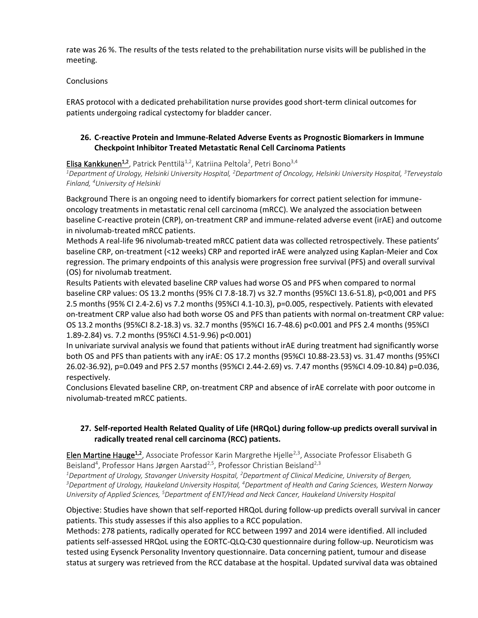rate was 26 %. The results of the tests related to the prehabilitation nurse visits will be published in the meeting.

#### **Conclusions**

ERAS protocol with a dedicated prehabilitation nurse provides good short-term clinical outcomes for patients undergoing radical cystectomy for bladder cancer.

## **26. C-reactive Protein and Immune-Related Adverse Events as Prognostic Biomarkers in Immune Checkpoint Inhibitor Treated Metastatic Renal Cell Carcinoma Patients**

Elisa Kankkunen<sup>1,2</sup>, Patrick Penttilä<sup>1,2</sup>, Katriina Peltola<sup>2</sup>, Petri Bono<sup>3,4</sup>

*<sup>1</sup>Department of Urology, Helsinki University Hospital, <sup>2</sup>Department of Oncology, Helsinki University Hospital, <sup>3</sup>Terveystalo Finland, <sup>4</sup>University of Helsinki*

Background There is an ongoing need to identify biomarkers for correct patient selection for immuneoncology treatments in metastatic renal cell carcinoma (mRCC). We analyzed the association between baseline C-reactive protein (CRP), on-treatment CRP and immune-related adverse event (irAE) and outcome in nivolumab-treated mRCC patients.

Methods A real-life 96 nivolumab-treated mRCC patient data was collected retrospectively. These patients' baseline CRP, on-treatment (<12 weeks) CRP and reported irAE were analyzed using Kaplan-Meier and Cox regression. The primary endpoints of this analysis were progression free survival (PFS) and overall survival (OS) for nivolumab treatment.

Results Patients with elevated baseline CRP values had worse OS and PFS when compared to normal baseline CRP values: OS 13.2 months (95% CI 7.8-18.7) vs 32.7 months (95%CI 13.6-51.8), p<0,001 and PFS 2.5 months (95% CI 2.4-2.6) vs 7.2 months (95%CI 4.1-10.3), p=0.005, respectively. Patients with elevated on-treatment CRP value also had both worse OS and PFS than patients with normal on-treatment CRP value: OS 13.2 months (95%CI 8.2-18.3) vs. 32.7 months (95%CI 16.7-48.6) p<0.001 and PFS 2.4 months (95%CI 1.89-2.84) vs. 7.2 months (95%CI 4.51-9.96) p<0.001)

In univariate survival analysis we found that patients without irAE during treatment had significantly worse both OS and PFS than patients with any irAE: OS 17.2 months (95%CI 10.88-23.53) vs. 31.47 months (95%CI 26.02-36.92), p=0.049 and PFS 2.57 months (95%CI 2.44-2.69) vs. 7.47 months (95%CI 4.09-10.84) p=0.036, respectively.

Conclusions Elevated baseline CRP, on-treatment CRP and absence of irAE correlate with poor outcome in nivolumab-treated mRCC patients.

## **27. Self-reported Health Related Quality of Life (HRQoL) during follow-up predicts overall survival in radically treated renal cell carcinoma (RCC) patients.**

Elen Martine Hauge<sup>1,2</sup>, Associate Professor Karin Margrethe Hjelle<sup>2,3</sup>, Associate Professor Elisabeth G Beisland<sup>4</sup>, Professor Hans Jørgen Aarstad<sup>2,5</sup>, Professor Christian Beisland<sup>2,3</sup>

*<sup>1</sup>Department of Urology, Stavanger University Hospital, <sup>2</sup>Department of Clinical Medicine, University of Bergen,* 

*<sup>3</sup>Department of Urology, Haukeland University Hospital, <sup>4</sup>Department of Health and Caring Sciences, Western Norway University of Applied Sciences, <sup>5</sup>Department of ENT/Head and Neck Cancer, Haukeland University Hospital*

Objective: Studies have shown that self-reported HRQoL during follow-up predicts overall survival in cancer patients. This study assesses if this also applies to a RCC population.

Methods: 278 patients, radically operated for RCC between 1997 and 2014 were identified. All included patients self-assessed HRQoL using the EORTC-QLQ-C30 questionnaire during follow-up. Neuroticism was tested using Eysenck Personality Inventory questionnaire. Data concerning patient, tumour and disease status at surgery was retrieved from the RCC database at the hospital. Updated survival data was obtained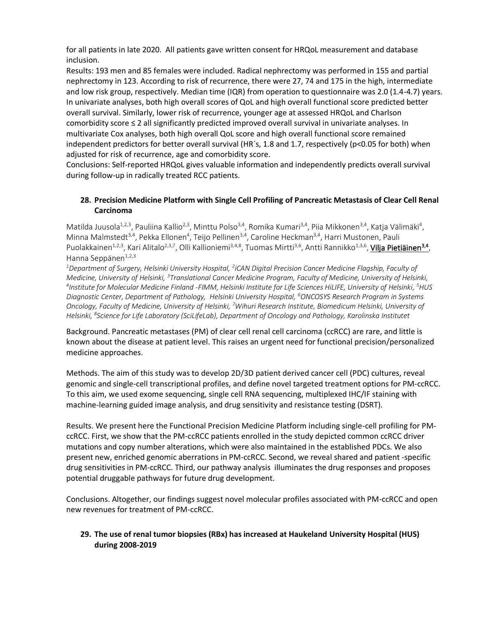for all patients in late 2020. All patients gave written consent for HRQoL measurement and database inclusion.

Results: 193 men and 85 females were included. Radical nephrectomy was performed in 155 and partial nephrectomy in 123. According to risk of recurrence, there were 27, 74 and 175 in the high, intermediate and low risk group, respectively. Median time (IQR) from operation to questionnaire was 2.0 (1.4-4.7) years. In univariate analyses, both high overall scores of QoL and high overall functional score predicted better overall survival. Similarly, lower risk of recurrence, younger age at assessed HRQoL and Charlson comorbidity score ≤ 2 all significantly predicted improved overall survival in univariate analyses. In multivariate Cox analyses, both high overall QoL score and high overall functional score remained independent predictors for better overall survival (HR`s, 1.8 and 1.7, respectively (p<0.05 for both) when adjusted for risk of recurrence, age and comorbidity score.

Conclusions: Self-reported HRQoL gives valuable information and independently predicts overall survival during follow-up in radically treated RCC patients.

## **28. Precision Medicine Platform with Single Cell Profiling of Pancreatic Metastasis of Clear Cell Renal Carcinoma**

Matilda Juusola<sup>1,2,3</sup>, Pauliina Kallio<sup>2,3</sup>, Minttu Polso<sup>3,4</sup>, Romika Kumari<sup>3,4</sup>, Piia Mikkonen<sup>3,4</sup>, Katja Välimäki<sup>4</sup>, Minna Malmstedt<sup>3,4</sup>, Pekka Ellonen<sup>4</sup>, Teijo Pellinen<sup>3,4</sup>, Caroline Heckman<sup>3,4</sup>, Harri Mustonen, Pauli Puolakkainen<sup>1,2,3</sup>, Kari Alitalo<sup>2,3,7</sup>, Olli Kallioniemi<sup>3,4,8</sup>, Tuomas Mirtti<sup>3,6</sup>, Antti Rannikko<sup>1,3,6</sup>, <mark>Vilja Pietiäinen<sup>3,4</sup>,</mark> Hanna Seppänen $1,2,3$ 

*<sup>1</sup>Department of Surgery, Helsinki University Hospital, <sup>2</sup> iCAN Digital Precision Cancer Medicine Flagship, Faculty of Medicine, University of Helsinki, <sup>3</sup>Translational Cancer Medicine Program, Faculty of Medicine, University of Helsinki,*  <sup>4</sup>Institute for Molecular Medicine Finland -FIMM, Helsinki Institute for Life Sciences HiLIFE, University of Helsinki, <sup>5</sup>HUS *Diagnostic Center, Department of Pathology, Helsinki University Hospital, <sup>6</sup>ONCOSYS Research Program in Systems Oncology, Faculty of Medicine, University of Helsinki, <sup>7</sup>Wihuri Research Institute, Biomedicum Helsinki, University of Helsinki, <sup>8</sup> Science for Life Laboratory (SciLifeLab), Department of Oncology and Pathology, Karolinska Institutet*

Background. Pancreatic metastases (PM) of clear cell renal cell carcinoma (ccRCC) are rare, and little is known about the disease at patient level. This raises an urgent need for functional precision/personalized medicine approaches.

Methods. The aim of this study was to develop 2D/3D patient derived cancer cell (PDC) cultures, reveal genomic and single-cell transcriptional profiles, and define novel targeted treatment options for PM-ccRCC. To this aim, we used exome sequencing, single cell RNA sequencing, multiplexed IHC/IF staining with machine-learning guided image analysis, and drug sensitivity and resistance testing (DSRT).

Results. We present here the Functional Precision Medicine Platform including single-cell profiling for PMccRCC. First, we show that the PM-ccRCC patients enrolled in the study depicted common ccRCC driver mutations and copy number alterations, which were also maintained in the established PDCs. We also present new, enriched genomic aberrations in PM-ccRCC. Second, we reveal shared and patient -specific drug sensitivities in PM-ccRCC. Third, our pathway analysis illuminates the drug responses and proposes potential druggable pathways for future drug development.

Conclusions. Altogether, our findings suggest novel molecular profiles associated with PM-ccRCC and open new revenues for treatment of PM-ccRCC.

## **29. The use of renal tumor biopsies (RBx) has increased at Haukeland University Hospital (HUS) during 2008-2019**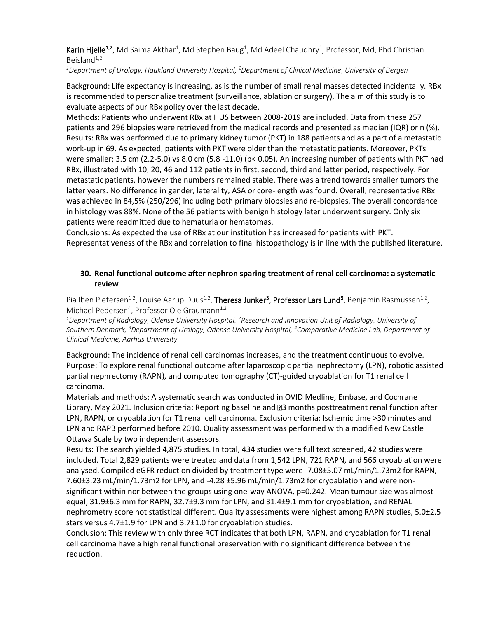Karin Hjelle<sup>1,2</sup>, Md Saima Akthar<sup>1</sup>, Md Stephen Baug<sup>1</sup>, Md Adeel Chaudhry<sup>1</sup>, Professor, Md, Phd Christian Beisland $1,2$ 

*<sup>1</sup>Department of Urology, Haukland University Hospital, <sup>2</sup>Department of Clinical Medicine, University of Bergen*

Background: Life expectancy is increasing, as is the number of small renal masses detected incidentally. RBx is recommended to personalize treatment (surveillance, ablation or surgery), The aim of this study is to evaluate aspects of our RBx policy over the last decade.

Methods: Patients who underwent RBx at HUS between 2008-2019 are included. Data from these 257 patients and 296 biopsies were retrieved from the medical records and presented as median (IQR) or n (%). Results: RBx was performed due to primary kidney tumor (PKT) in 188 patients and as a part of a metastatic work-up in 69. As expected, patients with PKT were older than the metastatic patients. Moreover, PKTs were smaller; 3.5 cm (2.2-5.0) vs 8.0 cm (5.8 -11.0) (p< 0.05). An increasing number of patients with PKT had RBx, illustrated with 10, 20, 46 and 112 patients in first, second, third and latter period, respectively. For metastatic patients, however the numbers remained stable. There was a trend towards smaller tumors the latter years. No difference in gender, laterality, ASA or core-length was found. Overall, representative RBx was achieved in 84,5% (250/296) including both primary biopsies and re-biopsies. The overall concordance in histology was 88%. None of the 56 patients with benign histology later underwent surgery. Only six patients were readmitted due to hematuria or hematomas.

Conclusions: As expected the use of RBx at our institution has increased for patients with PKT. Representativeness of the RBx and correlation to final histopathology is in line with the published literature.

## **30. Renal functional outcome after nephron sparing treatment of renal cell carcinoma: a systematic review**

Pia Iben Pietersen<sup>1,2</sup>, Louise Aarup Duus<sup>1,2</sup>, Theresa Junker<sup>3</sup>, Professor Lars Lund<sup>3</sup>, Benjamin Rasmussen<sup>1,2</sup>, Michael Pedersen<sup>4</sup>, Professor Ole Graumann<sup>1,2</sup>

*<sup>1</sup>Department of Radiology, Odense University Hospital, <sup>2</sup>Research and Innovation Unit of Radiology, University of Southern Denmark, <sup>3</sup>Department of Urology, Odense University Hospital, <sup>4</sup>Comparative Medicine Lab, Department of Clinical Medicine, Aarhus University*

Background: The incidence of renal cell carcinomas increases, and the treatment continuous to evolve. Purpose: To explore renal functional outcome after laparoscopic partial nephrectomy (LPN), robotic assisted partial nephrectomy (RAPN), and computed tomography (CT)-guided cryoablation for T1 renal cell carcinoma.

Materials and methods: A systematic search was conducted in OVID Medline, Embase, and Cochrane Library, May 2021. Inclusion criteria: Reporting baseline and 23 months posttreatment renal function after LPN, RAPN, or cryoablation for T1 renal cell carcinoma. Exclusion criteria: Ischemic time >30 minutes and LPN and RAPB performed before 2010. Quality assessment was performed with a modified New Castle Ottawa Scale by two independent assessors.

Results: The search yielded 4,875 studies. In total, 434 studies were full text screened, 42 studies were included. Total 2,829 patients were treated and data from 1,542 LPN, 721 RAPN, and 566 cryoablation were analysed. Compiled eGFR reduction divided by treatment type were -7.08±5.07 mL/min/1.73m2 for RAPN, - 7.60±3.23 mL/min/1.73m2 for LPN, and -4.28 ±5.96 mL/min/1.73m2 for cryoablation and were nonsignificant within nor between the groups using one-way ANOVA, p=0.242. Mean tumour size was almost equal; 31.9±6.3 mm for RAPN, 32.7±9.3 mm for LPN, and 31.4±9.1 mm for cryoablation, and RENAL nephrometry score not statistical different. Quality assessments were highest among RAPN studies, 5.0±2.5 stars versus 4.7±1.9 for LPN and 3.7±1.0 for cryoablation studies.

Conclusion: This review with only three RCT indicates that both LPN, RAPN, and cryoablation for T1 renal cell carcinoma have a high renal functional preservation with no significant difference between the reduction.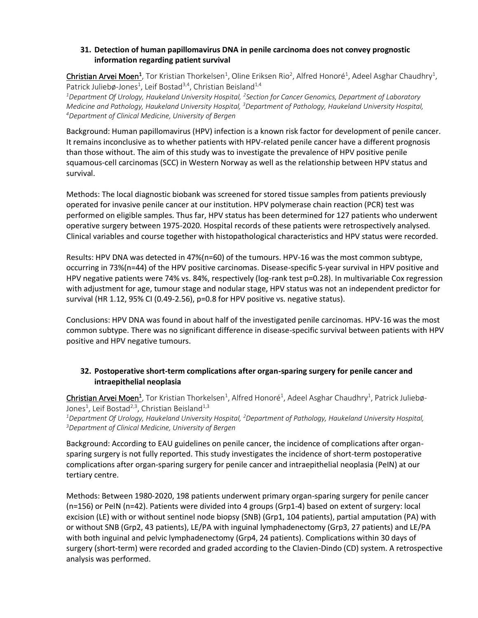## **31. Detection of human papillomavirus DNA in penile carcinoma does not convey prognostic information regarding patient survival**

Christian Arvei Moen<sup>1</sup>, Tor Kristian Thorkelsen<sup>1</sup>, Oline Eriksen Rio<sup>2</sup>, Alfred Honoré<sup>1</sup>, Adeel Asghar Chaudhry<sup>1</sup>, Patrick Juliebø-Jones<sup>1</sup>, Leif Bostad<sup>3,4</sup>, Christian Beisland<sup>1,4</sup>

*<sup>1</sup>Department Of Urology, Haukeland University Hospital, <sup>2</sup> Section for Cancer Genomics, Department of Laboratory Medicine and Pathology, Haukeland University Hospital, <sup>3</sup>Department of Pathology, Haukeland University Hospital, <sup>4</sup>Department of Clinical Medicine, University of Bergen*

Background: Human papillomavirus (HPV) infection is a known risk factor for development of penile cancer. It remains inconclusive as to whether patients with HPV-related penile cancer have a different prognosis than those without. The aim of this study was to investigate the prevalence of HPV positive penile squamous-cell carcinomas (SCC) in Western Norway as well as the relationship between HPV status and survival.

Methods: The local diagnostic biobank was screened for stored tissue samples from patients previously operated for invasive penile cancer at our institution. HPV polymerase chain reaction (PCR) test was performed on eligible samples. Thus far, HPV status has been determined for 127 patients who underwent operative surgery between 1975-2020. Hospital records of these patients were retrospectively analysed. Clinical variables and course together with histopathological characteristics and HPV status were recorded.

Results: HPV DNA was detected in 47%(n=60) of the tumours. HPV-16 was the most common subtype, occurring in 73%(n=44) of the HPV positive carcinomas. Disease-specific 5-year survival in HPV positive and HPV negative patients were 74% vs. 84%, respectively (log-rank test p=0.28). In multivariable Cox regression with adjustment for age, tumour stage and nodular stage, HPV status was not an independent predictor for survival (HR 1.12, 95% CI (0.49-2.56), p=0.8 for HPV positive vs. negative status).

Conclusions: HPV DNA was found in about half of the investigated penile carcinomas. HPV-16 was the most common subtype. There was no significant difference in disease-specific survival between patients with HPV positive and HPV negative tumours.

## **32. Postoperative short-term complications after organ-sparing surgery for penile cancer and intraepithelial neoplasia**

 $\mathsf{Christian}$  Arvei Moen<sup>1</sup>, Tor Kristian Thorkelsen<sup>1</sup>, Alfred Honoré<sup>1</sup>, Adeel Asghar Chaudhry<sup>1</sup>, Patrick Juliebø-Jones<sup>1</sup>, Leif Bostad<sup>2,3</sup>, Christian Beisland<sup>1,3</sup>

*<sup>1</sup>Department Of Urology, Haukeland University Hospital, <sup>2</sup>Department of Pathology, Haukeland University Hospital, <sup>3</sup>Department of Clinical Medicine, University of Bergen*

Background: According to EAU guidelines on penile cancer, the incidence of complications after organsparing surgery is not fully reported. This study investigates the incidence of short-term postoperative complications after organ-sparing surgery for penile cancer and intraepithelial neoplasia (PeIN) at our tertiary centre.

Methods: Between 1980-2020, 198 patients underwent primary organ-sparing surgery for penile cancer (n=156) or PeIN (n=42). Patients were divided into 4 groups (Grp1-4) based on extent of surgery: local excision (LE) with or without sentinel node biopsy (SNB) (Grp1, 104 patients), partial amputation (PA) with or without SNB (Grp2, 43 patients), LE/PA with inguinal lymphadenectomy (Grp3, 27 patients) and LE/PA with both inguinal and pelvic lymphadenectomy (Grp4, 24 patients). Complications within 30 days of surgery (short-term) were recorded and graded according to the Clavien-Dindo (CD) system. A retrospective analysis was performed.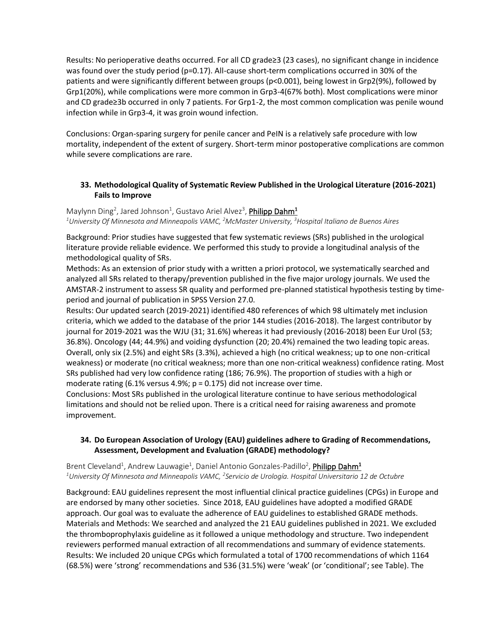Results: No perioperative deaths occurred. For all CD grade≥3 (23 cases), no significant change in incidence was found over the study period (p=0.17). All-cause short-term complications occurred in 30% of the patients and were significantly different between groups (p<0.001), being lowest in Grp2(9%), followed by Grp1(20%), while complications were more common in Grp3-4(67% both). Most complications were minor and CD grade≥3b occurred in only 7 patients. For Grp1-2, the most common complication was penile wound infection while in Grp3-4, it was groin wound infection.

Conclusions: Organ-sparing surgery for penile cancer and PeIN is a relatively safe procedure with low mortality, independent of the extent of surgery. Short-term minor postoperative complications are common while severe complications are rare.

## **33. Methodological Quality of Systematic Review Published in the Urological Literature (2016-2021) Fails to Improve**

Maylynn Ding<sup>2</sup>, Jared Johnson<sup>1</sup>, Gustavo Ariel Alvez<sup>3</sup>, **Philipp Dahm<sup>1</sup>** *<sup>1</sup>University Of Minnesota and Minneapolis VAMC, <sup>2</sup>McMaster University, <sup>3</sup>Hospital Italiano de Buenos Aires*

Background: Prior studies have suggested that few systematic reviews (SRs) published in the urological literature provide reliable evidence. We performed this study to provide a longitudinal analysis of the methodological quality of SRs.

Methods: As an extension of prior study with a written a priori protocol, we systematically searched and analyzed all SRs related to therapy/prevention published in the five major urology journals. We used the AMSTAR-2 instrument to assess SR quality and performed pre-planned statistical hypothesis testing by timeperiod and journal of publication in SPSS Version 27.0.

Results: Our updated search (2019-2021) identified 480 references of which 98 ultimately met inclusion criteria, which we added to the database of the prior 144 studies (2016-2018). The largest contributor by journal for 2019-2021 was the WJU (31; 31.6%) whereas it had previously (2016-2018) been Eur Urol (53; 36.8%). Oncology (44; 44.9%) and voiding dysfunction (20; 20.4%) remained the two leading topic areas. Overall, only six (2.5%) and eight SRs (3.3%), achieved a high (no critical weakness; up to one non-critical weakness) or moderate (no critical weakness; more than one non-critical weakness) confidence rating. Most SRs published had very low confidence rating (186; 76.9%). The proportion of studies with a high or moderate rating (6.1% versus 4.9%;  $p = 0.175$ ) did not increase over time.

Conclusions: Most SRs published in the urological literature continue to have serious methodological limitations and should not be relied upon. There is a critical need for raising awareness and promote improvement.

## **34. Do European Association of Urology (EAU) guidelines adhere to Grading of Recommendations, Assessment, Development and Evaluation (GRADE) methodology?**

Brent Cleveland<sup>1</sup>, Andrew Lauwagie<sup>1</sup>, Daniel Antonio Gonzales-Padillo<sup>2</sup>, **Philipp Dahm<sup>1</sup>** *<sup>1</sup>University Of Minnesota and Minneapolis VAMC, <sup>2</sup> Servicio de Urología. Hospital Universitario 12 de Octubre*

Background: EAU guidelines represent the most influential clinical practice guidelines (CPGs) in Europe and are endorsed by many other societies. Since 2018, EAU guidelines have adopted a modified GRADE approach. Our goal was to evaluate the adherence of EAU guidelines to established GRADE methods. Materials and Methods: We searched and analyzed the 21 EAU guidelines published in 2021. We excluded the thromboprophylaxis guideline as it followed a unique methodology and structure. Two independent reviewers performed manual extraction of all recommendations and summary of evidence statements. Results: We included 20 unique CPGs which formulated a total of 1700 recommendations of which 1164 (68.5%) were 'strong' recommendations and 536 (31.5%) were 'weak' (or 'conditional'; see Table). The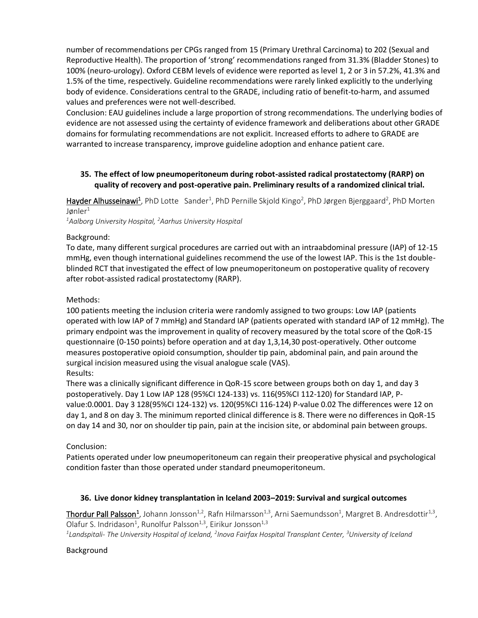number of recommendations per CPGs ranged from 15 (Primary Urethral Carcinoma) to 202 (Sexual and Reproductive Health). The proportion of 'strong' recommendations ranged from 31.3% (Bladder Stones) to 100% (neuro-urology). Oxford CEBM levels of evidence were reported as level 1, 2 or 3 in 57.2%, 41.3% and 1.5% of the time, respectively. Guideline recommendations were rarely linked explicitly to the underlying body of evidence. Considerations central to the GRADE, including ratio of benefit-to-harm, and assumed values and preferences were not well-described.

Conclusion: EAU guidelines include a large proportion of strong recommendations. The underlying bodies of evidence are not assessed using the certainty of evidence framework and deliberations about other GRADE domains for formulating recommendations are not explicit. Increased efforts to adhere to GRADE are warranted to increase transparency, improve guideline adoption and enhance patient care.

## **35. The effect of low pneumoperitoneum during robot-assisted radical prostatectomy (RARP) on quality of recovery and post-operative pain. Preliminary results of a randomized clinical trial.**

Hayder Alhusseinawi<sup>1</sup>, PhD Lotte Sander<sup>1</sup>, PhD Pernille Skjold Kingo<sup>2</sup>, PhD Jørgen Bjerggaard<sup>2</sup>, PhD Morten Jønle $r^1$ 

*<sup>1</sup>Aalborg University Hospital, <sup>2</sup>Aarhus University Hospital*

#### Background:

To date, many different surgical procedures are carried out with an intraabdominal pressure (IAP) of 12-15 mmHg, even though international guidelines recommend the use of the lowest IAP. This is the 1st doubleblinded RCT that investigated the effect of low pneumoperitoneum on postoperative quality of recovery after robot-assisted radical prostatectomy (RARP).

#### Methods:

100 patients meeting the inclusion criteria were randomly assigned to two groups: Low IAP (patients operated with low IAP of 7 mmHg) and Standard IAP (patients operated with standard IAP of 12 mmHg). The primary endpoint was the improvement in quality of recovery measured by the total score of the QoR-15 questionnaire (0-150 points) before operation and at day 1,3,14,30 post-operatively. Other outcome measures postoperative opioid consumption, shoulder tip pain, abdominal pain, and pain around the surgical incision measured using the visual analogue scale (VAS). Results:

There was a clinically significant difference in QoR-15 score between groups both on day 1, and day 3 postoperatively. Day 1 Low IAP 128 (95%CI 124-133) vs. 116(95%CI 112-120) for Standard IAP, Pvalue:0.0001. Day 3 128(95%CI 124-132) vs. 120(95%CI 116-124) P-value 0.02 The differences were 12 on day 1, and 8 on day 3. The minimum reported clinical difference is 8. There were no differences in QoR-15 on day 14 and 30, nor on shoulder tip pain, pain at the incision site, or abdominal pain between groups.

#### Conclusion:

Patients operated under low pneumoperitoneum can regain their preoperative physical and psychological condition faster than those operated under standard pneumoperitoneum.

#### **36. Live donor kidney transplantation in Iceland 2003–2019: Survival and surgical outcomes**

Thordur Pall Palsson<sup>1</sup>, Johann Jonsson<sup>1,2</sup>, Rafn Hilmarsson<sup>1,3</sup>, Arni Saemundsson<sup>1</sup>, Margret B. Andresdottir<sup>1,3</sup>, Olafur S. Indridason<sup>1</sup>, Runolfur Palsson<sup>1,3</sup>, Eirikur Jonsson<sup>1,3</sup>

*1 Landspitali- The University Hospital of Iceland, <sup>2</sup> Inova Fairfax Hospital Transplant Center, <sup>3</sup>University of Iceland*

Background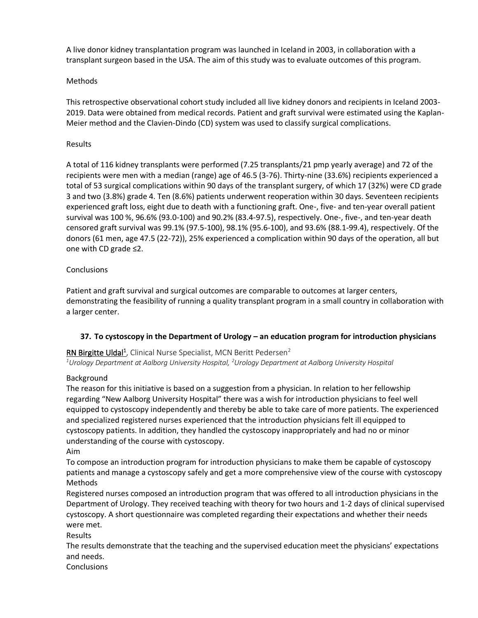A live donor kidney transplantation program was launched in Iceland in 2003, in collaboration with a transplant surgeon based in the USA. The aim of this study was to evaluate outcomes of this program.

## Methods

This retrospective observational cohort study included all live kidney donors and recipients in Iceland 2003- 2019. Data were obtained from medical records. Patient and graft survival were estimated using the Kaplan-Meier method and the Clavien-Dindo (CD) system was used to classify surgical complications.

#### Results

A total of 116 kidney transplants were performed (7.25 transplants/21 pmp yearly average) and 72 of the recipients were men with a median (range) age of 46.5 (3-76). Thirty-nine (33.6%) recipients experienced a total of 53 surgical complications within 90 days of the transplant surgery, of which 17 (32%) were CD grade 3 and two (3.8%) grade 4. Ten (8.6%) patients underwent reoperation within 30 days. Seventeen recipients experienced graft loss, eight due to death with a functioning graft. One-, five- and ten-year overall patient survival was 100 %, 96.6% (93.0-100) and 90.2% (83.4-97.5), respectively. One-, five-, and ten-year death censored graft survival was 99.1% (97.5-100), 98.1% (95.6-100), and 93.6% (88.1-99.4), respectively. Of the donors (61 men, age 47.5 (22-72)), 25% experienced a complication within 90 days of the operation, all but one with CD grade ≤2.

## **Conclusions**

Patient and graft survival and surgical outcomes are comparable to outcomes at larger centers, demonstrating the feasibility of running a quality transplant program in a small country in collaboration with a larger center.

## **37. To cystoscopy in the Department of Urology – an education program for introduction physicians**

## RN Birgitte Uldal<sup>1</sup>, Clinical Nurse Specialist, MCN Beritt Pedersen<sup>2</sup>

*<sup>1</sup>Urology Department at Aalborg University Hospital, <sup>2</sup>Urology Department at Aalborg University Hospital*

#### Background

The reason for this initiative is based on a suggestion from a physician. In relation to her fellowship regarding "New Aalborg University Hospital" there was a wish for introduction physicians to feel well equipped to cystoscopy independently and thereby be able to take care of more patients. The experienced and specialized registered nurses experienced that the introduction physicians felt ill equipped to cystoscopy patients. In addition, they handled the cystoscopy inappropriately and had no or minor understanding of the course with cystoscopy.

Aim

To compose an introduction program for introduction physicians to make them be capable of cystoscopy patients and manage a cystoscopy safely and get a more comprehensive view of the course with cystoscopy Methods

Registered nurses composed an introduction program that was offered to all introduction physicians in the Department of Urology. They received teaching with theory for two hours and 1-2 days of clinical supervised cystoscopy. A short questionnaire was completed regarding their expectations and whether their needs were met.

Results

The results demonstrate that the teaching and the supervised education meet the physicians' expectations and needs.

**Conclusions**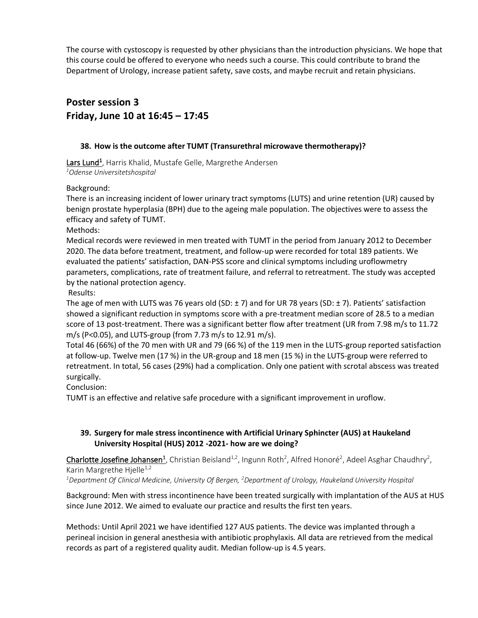The course with cystoscopy is requested by other physicians than the introduction physicians. We hope that this course could be offered to everyone who needs such a course. This could contribute to brand the Department of Urology, increase patient safety, save costs, and maybe recruit and retain physicians.

# **Poster session 3 Friday, June 10 at 16:45 – 17:45**

## **38. How is the outcome after TUMT (Transurethral microwave thermotherapy)?**

Lars Lund<sup>1</sup>, Harris Khalid, Mustafe Gelle, Margrethe Andersen *<sup>1</sup>Odense Universitetshospital*

#### Background:

There is an increasing incident of lower urinary tract symptoms (LUTS) and urine retention (UR) caused by benign prostate hyperplasia (BPH) due to the ageing male population. The objectives were to assess the efficacy and safety of TUMT.

Methods:

Medical records were reviewed in men treated with TUMT in the period from January 2012 to December 2020. The data before treatment, treatment, and follow-up were recorded for total 189 patients. We evaluated the patients' satisfaction, DAN-PSS score and clinical symptoms including uroflowmetry parameters, complications, rate of treatment failure, and referral to retreatment. The study was accepted by the national protection agency.

Results:

The age of men with LUTS was 76 years old (SD: ± 7) and for UR 78 years (SD: ± 7). Patients' satisfaction showed a significant reduction in symptoms score with a pre-treatment median score of 28.5 to a median score of 13 post-treatment. There was a significant better flow after treatment (UR from 7.98 m/s to 11.72 m/s (P<0.05), and LUTS-group (from 7.73 m/s to 12.91 m/s).

Total 46 (66%) of the 70 men with UR and 79 (66 %) of the 119 men in the LUTS-group reported satisfaction at follow-up. Twelve men (17 %) in the UR-group and 18 men (15 %) in the LUTS-group were referred to retreatment. In total, 56 cases (29%) had a complication. Only one patient with scrotal abscess was treated surgically.

Conclusion:

TUMT is an effective and relative safe procedure with a significant improvement in uroflow.

## **39. Surgery for male stress incontinence with Artificial Urinary Sphincter (AUS) at Haukeland University Hospital (HUS) 2012 -2021- how are we doing?**

Charlotte Josefine Johansen<sup>1</sup>, Christian Beisland<sup>1,2</sup>, Ingunn Roth<sup>2</sup>, Alfred Honoré<sup>2</sup>, Adeel Asghar Chaudhry<sup>2</sup>, Karin Margrethe Hjelle<sup>1,2</sup>

*<sup>1</sup>Department Of Clinical Medicine, University Of Bergen, <sup>2</sup>Department of Urology, Haukeland University Hospital*

Background: Men with stress incontinence have been treated surgically with implantation of the AUS at HUS since June 2012. We aimed to evaluate our practice and results the first ten years.

Methods: Until April 2021 we have identified 127 AUS patients. The device was implanted through a perineal incision in general anesthesia with antibiotic prophylaxis. All data are retrieved from the medical records as part of a registered quality audit. Median follow-up is 4.5 years.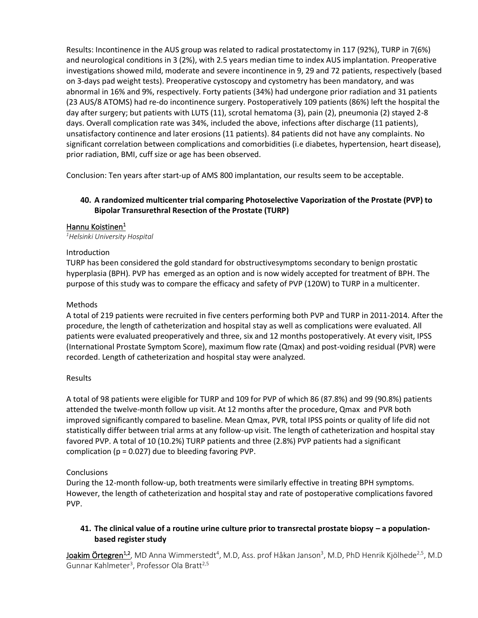Results: Incontinence in the AUS group was related to radical prostatectomy in 117 (92%), TURP in 7(6%) and neurological conditions in 3 (2%), with 2.5 years median time to index AUS implantation. Preoperative investigations showed mild, moderate and severe incontinence in 9, 29 and 72 patients, respectively (based on 3-days pad weight tests). Preoperative cystoscopy and cystometry has been mandatory, and was abnormal in 16% and 9%, respectively. Forty patients (34%) had undergone prior radiation and 31 patients (23 AUS/8 ATOMS) had re-do incontinence surgery. Postoperatively 109 patients (86%) left the hospital the day after surgery; but patients with LUTS (11), scrotal hematoma (3), pain (2), pneumonia (2) stayed 2-8 days. Overall complication rate was 34%, included the above, infections after discharge (11 patients), unsatisfactory continence and later erosions (11 patients). 84 patients did not have any complaints. No significant correlation between complications and comorbidities (i.e diabetes, hypertension, heart disease), prior radiation, BMI, cuff size or age has been observed.

Conclusion: Ten years after start-up of AMS 800 implantation, our results seem to be acceptable.

## **40. A randomized multicenter trial comparing Photoselective Vaporization of the Prostate (PVP) to Bipolar Transurethral Resection of the Prostate (TURP)**

## Hannu Koistinen<sup>1</sup>

*<sup>1</sup>Helsinki University Hospital*

#### Introduction

TURP has been considered the gold standard for obstructivesymptoms secondary to benign prostatic hyperplasia (BPH). PVP has emerged as an option and is now widely accepted for treatment of BPH. The purpose of this study was to compare the efficacy and safety of PVP (120W) to TURP in a multicenter.

#### Methods

A total of 219 patients were recruited in five centers performing both PVP and TURP in 2011-2014. After the procedure, the length of catheterization and hospital stay as well as complications were evaluated. All patients were evaluated preoperatively and three, six and 12 months postoperatively. At every visit, IPSS (International Prostate Symptom Score), maximum flow rate (Qmax) and post-voiding residual (PVR) were recorded. Length of catheterization and hospital stay were analyzed.

#### Results

A total of 98 patients were eligible for TURP and 109 for PVP of which 86 (87.8%) and 99 (90.8%) patients attended the twelve-month follow up visit. At 12 months after the procedure, Qmax and PVR both improved significantly compared to baseline. Mean Qmax, PVR, total IPSS points or quality of life did not statistically differ between trial arms at any follow-up visit. The length of catheterization and hospital stay favored PVP. A total of 10 (10.2%) TURP patients and three (2.8%) PVP patients had a significant complication ( $p = 0.027$ ) due to bleeding favoring PVP.

#### Conclusions

During the 12-month follow-up, both treatments were similarly effective in treating BPH symptoms. However, the length of catheterization and hospital stay and rate of postoperative complications favored PVP.

## **41. The clinical value of a routine urine culture prior to transrectal prostate biopsy – a populationbased register study**

**Joakim Örtegren<sup>1,2</sup>,** MD Anna Wimmerstedt<sup>4</sup>, M.D, Ass. prof Håkan Janson<sup>3</sup>, M.D, PhD Henrik Kjölhede<sup>2,5</sup>, M.D Gunnar Kahlmeter<sup>3</sup>, Professor Ola Bratt<sup>2,5</sup>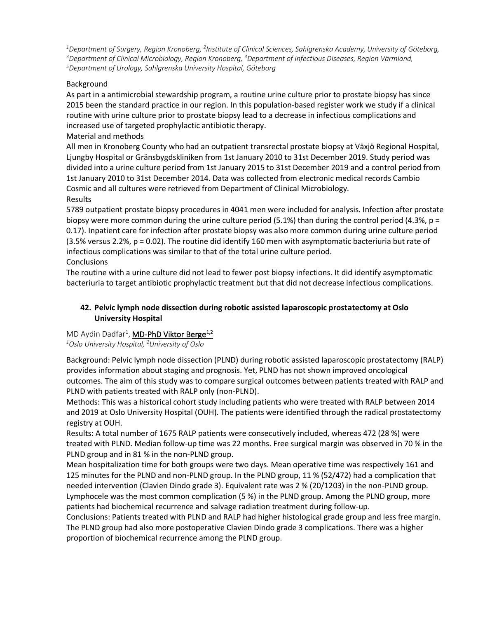<sup>1</sup>Department of Surgery, Region Kronoberg, <sup>2</sup>Institute of Clinical Sciences, Sahlgrenska Academy, University of Göteborg, *<sup>3</sup>Department of Clinical Microbiology, Region Kronoberg, <sup>4</sup>Department of Infectious Diseases, Region Värmland, <sup>5</sup>Department of Urology, Sahlgrenska University Hospital, Göteborg*

## Background

As part in a antimicrobial stewardship program, a routine urine culture prior to prostate biopsy has since 2015 been the standard practice in our region. In this population-based register work we study if a clinical routine with urine culture prior to prostate biopsy lead to a decrease in infectious complications and increased use of targeted prophylactic antibiotic therapy.

#### Material and methods

All men in Kronoberg County who had an outpatient transrectal prostate biopsy at Växjö Regional Hospital, Ljungby Hospital or Gränsbygdskliniken from 1st January 2010 to 31st December 2019. Study period was divided into a urine culture period from 1st January 2015 to 31st December 2019 and a control period from 1st January 2010 to 31st December 2014. Data was collected from electronic medical records Cambio Cosmic and all cultures were retrieved from Department of Clinical Microbiology. Results

5789 outpatient prostate biopsy procedures in 4041 men were included for analysis. Infection after prostate biopsy were more common during the urine culture period (5.1%) than during the control period (4.3%,  $p =$ 0.17). Inpatient care for infection after prostate biopsy was also more common during urine culture period (3.5% versus 2.2%, p = 0.02). The routine did identify 160 men with asymptomatic bacteriuria but rate of infectious complications was similar to that of the total urine culture period.

#### **Conclusions**

The routine with a urine culture did not lead to fewer post biopsy infections. It did identify asymptomatic bacteriuria to target antibiotic prophylactic treatment but that did not decrease infectious complications.

## **42. Pelvic lymph node dissection during robotic assisted laparoscopic prostatectomy at Oslo University Hospital**

## MD Aydin Dadfar<sup>1</sup>, **MD-PhD Viktor Berge<sup>1,2</sup>**

*<sup>1</sup>Oslo University Hospital, <sup>2</sup>University of Oslo*

Background: Pelvic lymph node dissection (PLND) during robotic assisted laparoscopic prostatectomy (RALP) provides information about staging and prognosis. Yet, PLND has not shown improved oncological outcomes. The aim of this study was to compare surgical outcomes between patients treated with RALP and PLND with patients treated with RALP only (non-PLND).

Methods: This was a historical cohort study including patients who were treated with RALP between 2014 and 2019 at Oslo University Hospital (OUH). The patients were identified through the radical prostatectomy registry at OUH.

Results: A total number of 1675 RALP patients were consecutively included, whereas 472 (28 %) were treated with PLND. Median follow-up time was 22 months. Free surgical margin was observed in 70 % in the PLND group and in 81 % in the non-PLND group.

Mean hospitalization time for both groups were two days. Mean operative time was respectively 161 and 125 minutes for the PLND and non-PLND group. In the PLND group, 11 % (52/472) had a complication that needed intervention (Clavien Dindo grade 3). Equivalent rate was 2 % (20/1203) in the non-PLND group. Lymphocele was the most common complication (5 %) in the PLND group. Among the PLND group, more patients had biochemical recurrence and salvage radiation treatment during follow-up.

Conclusions: Patients treated with PLND and RALP had higher histological grade group and less free margin. The PLND group had also more postoperative Clavien Dindo grade 3 complications. There was a higher proportion of biochemical recurrence among the PLND group.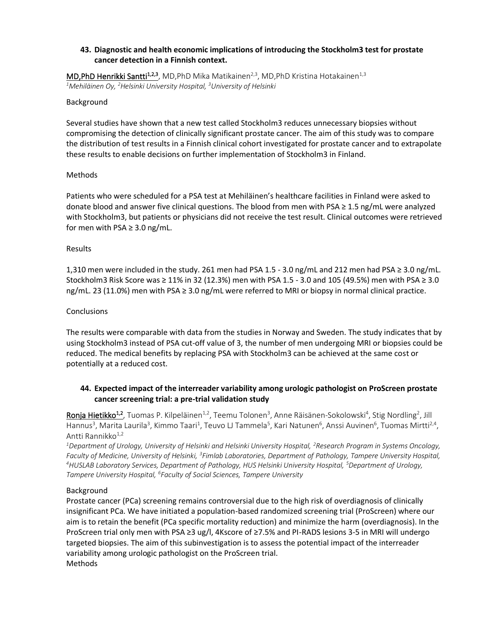## **43. Diagnostic and health economic implications of introducing the Stockholm3 test for prostate cancer detection in a Finnish context.**

**MD,PhD Henrikki Santti<sup>1,2,3</sup>, MD,PhD Mika Matikainen<sup>2,3</sup>, MD,PhD Kristina Hotakainen<sup>1,3</sup>** *<sup>1</sup>Mehiläinen Oy, <sup>2</sup>Helsinki University Hospital, <sup>3</sup>University of Helsinki*

#### Background

Several studies have shown that a new test called Stockholm3 reduces unnecessary biopsies without compromising the detection of clinically significant prostate cancer. The aim of this study was to compare the distribution of test results in a Finnish clinical cohort investigated for prostate cancer and to extrapolate these results to enable decisions on further implementation of Stockholm3 in Finland.

#### Methods

Patients who were scheduled for a PSA test at Mehiläinen's healthcare facilities in Finland were asked to donate blood and answer five clinical questions. The blood from men with PSA ≥ 1.5 ng/mL were analyzed with Stockholm3, but patients or physicians did not receive the test result. Clinical outcomes were retrieved for men with PSA  $\geq$  3.0 ng/mL.

#### Results

1,310 men were included in the study. 261 men had PSA 1.5 - 3.0 ng/mL and 212 men had PSA ≥ 3.0 ng/mL. Stockholm3 Risk Score was ≥ 11% in 32 (12.3%) men with PSA 1.5 - 3.0 and 105 (49.5%) men with PSA ≥ 3.0 ng/mL. 23 (11.0%) men with PSA ≥ 3.0 ng/mL were referred to MRI or biopsy in normal clinical practice.

#### **Conclusions**

The results were comparable with data from the studies in Norway and Sweden. The study indicates that by using Stockholm3 instead of PSA cut-off value of 3, the number of men undergoing MRI or biopsies could be reduced. The medical benefits by replacing PSA with Stockholm3 can be achieved at the same cost or potentially at a reduced cost.

## **44. Expected impact of the interreader variability among urologic pathologist on ProScreen prostate cancer screening trial: a pre-trial validation study**

<mark>Ronja Hietikko<sup>1,2</sup>,</mark> Tuomas P. Kilpeläinen<sup>1,2</sup>, Teemu Tolonen<sup>3</sup>, Anne Räisänen-Sokolowski<sup>4</sup>, Stig Nordling<sup>2</sup>, Jill Hannus<sup>3</sup>, Marita Laurila<sup>3</sup>, Kimmo Taari<sup>1</sup>, Teuvo LJ Tammela<sup>5</sup>, Kari Natunen<sup>6</sup>, Anssi Auvinen<sup>6</sup>, Tuomas Mirtti<sup>2,4</sup>, Antti Rannikko<sup>1,2</sup>

*<sup>1</sup>Department of Urology, University of Helsinki and Helsinki University Hospital, <sup>2</sup>Research Program in Systems Oncology,*  Faculty of Medicine, University of Helsinki, <sup>3</sup>Fimlab Laboratories, Department of Pathology, Tampere University Hospital, *<sup>4</sup>HUSLAB Laboratory Services, Department of Pathology, HUS Helsinki University Hospital, <sup>5</sup>Department of Urology, Tampere University Hospital, <sup>6</sup> Faculty of Social Sciences, Tampere University*

#### Background

Prostate cancer (PCa) screening remains controversial due to the high risk of overdiagnosis of clinically insignificant PCa. We have initiated a population-based randomized screening trial (ProScreen) where our aim is to retain the benefit (PCa specific mortality reduction) and minimize the harm (overdiagnosis). In the ProScreen trial only men with PSA ≥3 ug/l, 4Kscore of ≥7.5% and PI-RADS lesions 3-5 in MRI will undergo targeted biopsies. The aim of this subinvestigation is to assess the potential impact of the interreader variability among urologic pathologist on the ProScreen trial. Methods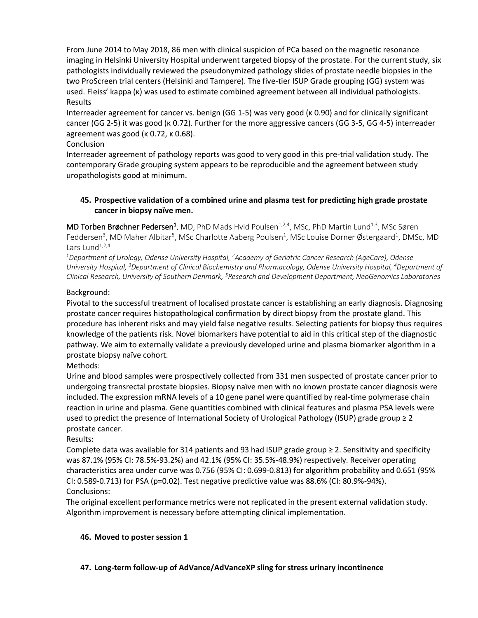From June 2014 to May 2018, 86 men with clinical suspicion of PCa based on the magnetic resonance imaging in Helsinki University Hospital underwent targeted biopsy of the prostate. For the current study, six pathologists individually reviewed the pseudonymized pathology slides of prostate needle biopsies in the two ProScreen trial centers (Helsinki and Tampere). The five-tier ISUP Grade grouping (GG) system was used. Fleiss' kappa (κ) was used to estimate combined agreement between all individual pathologists. Results

Interreader agreement for cancer vs. benign (GG 1-5) was very good (κ 0.90) and for clinically significant cancer (GG 2-5) it was good (κ 0.72). Further for the more aggressive cancers (GG 3-5, GG 4-5) interreader agreement was good (κ 0.72, κ 0.68).

## Conclusion

Interreader agreement of pathology reports was good to very good in this pre-trial validation study. The contemporary Grade grouping system appears to be reproducible and the agreement between study uropathologists good at minimum.

## **45. Prospective validation of a combined urine and plasma test for predicting high grade prostate cancer in biopsy naïve men.**

**MD Torben Brøchner Pedersen<sup>1</sup>, MD, PhD Mads Hvid Poulsen<sup>1,2,4</sup>, MSc, PhD Martin Lund<sup>1,3</sup>, MSc Søren** Feddersen<sup>3</sup>, MD Maher Albitar<sup>5</sup>, MSc Charlotte Aaberg Poulsen<sup>1</sup>, MSc Louise Dorner Østergaard<sup>1</sup>, DMSc, MD Lars Lund $1,2,4$ 

*<sup>1</sup>Department of Urology, Odense University Hospital, <sup>2</sup>Academy of Geriatric Cancer Research (AgeCare), Odense University Hospital, <sup>3</sup>Department of Clinical Biochemistry and Pharmacology, Odense University Hospital, <sup>4</sup>Department of Clinical Research, University of Southern Denmark, <sup>5</sup>Research and Development Department, NeoGenomics Laboratories*

## Background:

Pivotal to the successful treatment of localised prostate cancer is establishing an early diagnosis. Diagnosing prostate cancer requires histopathological confirmation by direct biopsy from the prostate gland. This procedure has inherent risks and may yield false negative results. Selecting patients for biopsy thus requires knowledge of the patients risk. Novel biomarkers have potential to aid in this critical step of the diagnostic pathway. We aim to externally validate a previously developed urine and plasma biomarker algorithm in a prostate biopsy naïve cohort.

Methods:

Urine and blood samples were prospectively collected from 331 men suspected of prostate cancer prior to undergoing transrectal prostate biopsies. Biopsy naïve men with no known prostate cancer diagnosis were included. The expression mRNA levels of a 10 gene panel were quantified by real-time polymerase chain reaction in urine and plasma. Gene quantities combined with clinical features and plasma PSA levels were used to predict the presence of International Society of Urological Pathology (ISUP) grade group ≥ 2 prostate cancer.

## Results:

Complete data was available for 314 patients and 93 had ISUP grade group ≥ 2. Sensitivity and specificity was 87.1% (95% CI: 78.5%-93.2%) and 42.1% (95% CI: 35.5%-48.9%) respectively. Receiver operating characteristics area under curve was 0.756 (95% CI: 0.699-0.813) for algorithm probability and 0.651 (95% CI: 0.589-0.713) for PSA (p=0.02). Test negative predictive value was 88.6% (CI: 80.9%-94%). Conclusions:

The original excellent performance metrics were not replicated in the present external validation study. Algorithm improvement is necessary before attempting clinical implementation.

#### **46. Moved to poster session 1**

#### **47. Long-term follow-up of AdVance/AdVanceXP sling for stress urinary incontinence**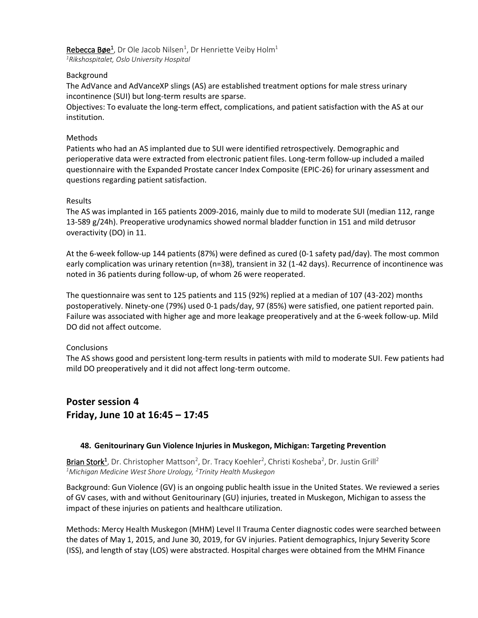Rebecca Bøe<sup>1</sup>, Dr Ole Jacob Nilsen<sup>1</sup>, Dr Henriette Veiby Holm<sup>1</sup> *<sup>1</sup>Rikshospitalet, Oslo University Hospital*

#### Background

The AdVance and AdVanceXP slings (AS) are established treatment options for male stress urinary incontinence (SUI) but long-term results are sparse.

Objectives: To evaluate the long-term effect, complications, and patient satisfaction with the AS at our institution.

#### Methods

Patients who had an AS implanted due to SUI were identified retrospectively. Demographic and perioperative data were extracted from electronic patient files. Long-term follow-up included a mailed questionnaire with the Expanded Prostate cancer Index Composite (EPIC-26) for urinary assessment and questions regarding patient satisfaction.

#### Results

The AS was implanted in 165 patients 2009-2016, mainly due to mild to moderate SUI (median 112, range 13-589 g/24h). Preoperative urodynamics showed normal bladder function in 151 and mild detrusor overactivity (DO) in 11.

At the 6-week follow-up 144 patients (87%) were defined as cured (0-1 safety pad/day). The most common early complication was urinary retention (n=38), transient in 32 (1-42 days). Recurrence of incontinence was noted in 36 patients during follow-up, of whom 26 were reoperated.

The questionnaire was sent to 125 patients and 115 (92%) replied at a median of 107 (43-202) months postoperatively. Ninety-one (79%) used 0-1 pads/day, 97 (85%) were satisfied, one patient reported pain. Failure was associated with higher age and more leakage preoperatively and at the 6-week follow-up. Mild DO did not affect outcome.

#### **Conclusions**

The AS shows good and persistent long-term results in patients with mild to moderate SUI. Few patients had mild DO preoperatively and it did not affect long-term outcome.

## **Poster session 4 Friday, June 10 at 16:45 – 17:45**

#### **48. Genitourinary Gun Violence Injuries in Muskegon, Michigan: Targeting Prevention**

Brian Stork<sup>1</sup>, Dr. Christopher Mattson<sup>2</sup>, Dr. Tracy Koehler<sup>2</sup>, Christi Kosheba<sup>2</sup>, Dr. Justin Grill<sup>2</sup> *<sup>1</sup>Michigan Medicine West Shore Urology, <sup>2</sup>Trinity Health Muskegon*

Background: Gun Violence (GV) is an ongoing public health issue in the United States. We reviewed a series of GV cases, with and without Genitourinary (GU) injuries, treated in Muskegon, Michigan to assess the impact of these injuries on patients and healthcare utilization.

Methods: Mercy Health Muskegon (MHM) Level II Trauma Center diagnostic codes were searched between the dates of May 1, 2015, and June 30, 2019, for GV injuries. Patient demographics, Injury Severity Score (ISS), and length of stay (LOS) were abstracted. Hospital charges were obtained from the MHM Finance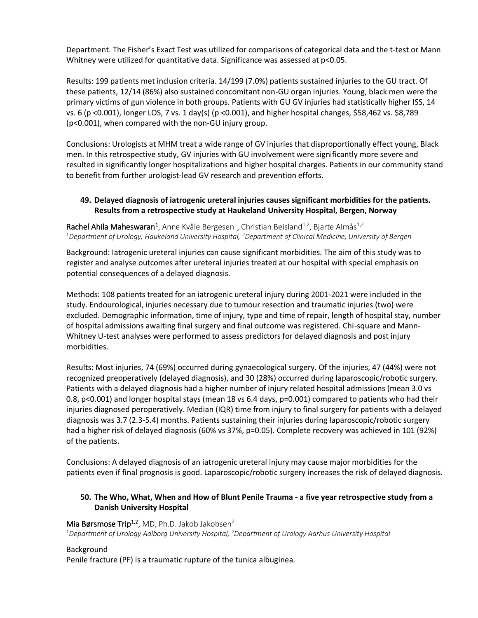Department. The Fisher's Exact Test was utilized for comparisons of categorical data and the t-test or Mann Whitney were utilized for quantitative data. Significance was assessed at p<0.05.

Results: 199 patients met inclusion criteria. 14/199 (7.0%) patients sustained injuries to the GU tract. Of these patients, 12/14 (86%) also sustained concomitant non-GU organ injuries. Young, black men were the primary victims of gun violence in both groups. Patients with GU GV injuries had statistically higher ISS, 14 vs. 6 (p <0.001), longer LOS, 7 vs. 1 day(s) (p <0.001), and higher hospital changes, \$58,462 vs. \$8,789 (p<0.001), when compared with the non-GU injury group.

Conclusions: Urologists at MHM treat a wide range of GV injuries that disproportionally effect young, Black men. In this retrospective study, GV injuries with GU involvement were significantly more severe and resulted in significantly longer hospitalizations and higher hospital charges. Patients in our community stand to benefit from further urologist-lead GV research and prevention efforts.

## **49. Delayed diagnosis of iatrogenic ureteral injuries causes significant morbidities for the patients. Results from a retrospective study at Haukeland University Hospital, Bergen, Norway**

Rachel Ahila Maheswaran<sup>1</sup>, Anne Kvåle Bergesen<sup>1</sup>, Christian Beisland<sup>1,2</sup>, Bjarte Almås<sup>1,2</sup> *<sup>1</sup>Department of Urology, Haukeland University Hospital, <sup>2</sup>Department of Clinical Medicine, University of Bergen*

Background: Iatrogenic ureteral injuries can cause significant morbidities. The aim of this study was to register and analyse outcomes after ureteral injuries treated at our hospital with special emphasis on potential consequences of a delayed diagnosis.

Methods: 108 patients treated for an iatrogenic ureteral injury during 2001-2021 were included in the study. Endourological, injuries necessary due to tumour resection and traumatic injuries (two) were excluded. Demographic information, time of injury, type and time of repair, length of hospital stay, number of hospital admissions awaiting final surgery and final outcome was registered. Chi-square and Mann-Whitney U-test analyses were performed to assess predictors for delayed diagnosis and post injury morbidities.

Results: Most injuries, 74 (69%) occurred during gynaecological surgery. Of the injuries, 47 (44%) were not recognized preoperatively (delayed diagnosis), and 30 (28%) occurred during laparoscopic/robotic surgery. Patients with a delayed diagnosis had a higher number of injury related hospital admissions (mean 3.0 vs 0.8, p<0.001) and longer hospital stays (mean 18 vs 6.4 days, p=0.001) compared to patients who had their injuries diagnosed peroperatively. Median (IQR) time from injury to final surgery for patients with a delayed diagnosis was 3.7 (2.3-5.4) months. Patients sustaining their injuries during laparoscopic/robotic surgery had a higher risk of delayed diagnosis (60% vs 37%, p=0.05). Complete recovery was achieved in 101 (92%) of the patients.

Conclusions: A delayed diagnosis of an iatrogenic ureteral injury may cause major morbidities for the patients even if final prognosis is good. Laparoscopic/robotic surgery increases the risk of delayed diagnosis.

## **50. The Who, What, When and How of Blunt Penile Trauma - a five year retrospective study from a Danish University Hospital**

#### Mia Børsmose Trip<sup>1,2</sup>, MD, Ph.D. Jakob Jakobsen<sup>2</sup>

*<sup>1</sup>Department of Urology Aalborg University Hospital, <sup>2</sup>Department of Urology Aarhus University Hospital*

#### Background

Penile fracture (PF) is a traumatic rupture of the tunica albuginea.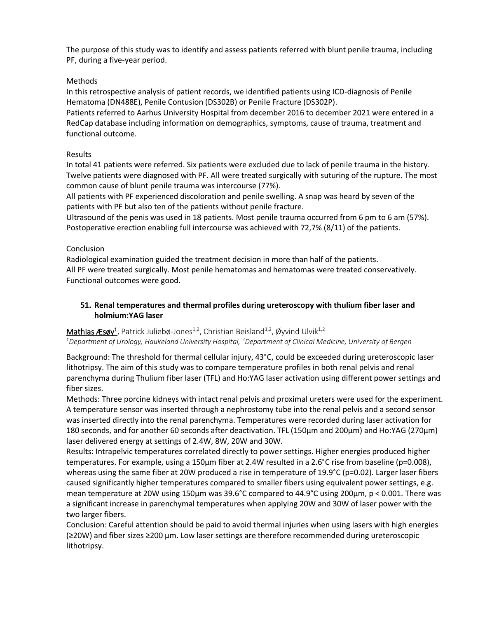The purpose of this study was to identify and assess patients referred with blunt penile trauma, including PF, during a five-year period.

## Methods

In this retrospective analysis of patient records, we identified patients using ICD-diagnosis of Penile Hematoma (DN488E), Penile Contusion (DS302B) or Penile Fracture (DS302P).

Patients referred to Aarhus University Hospital from december 2016 to december 2021 were entered in a RedCap database including information on demographics, symptoms, cause of trauma, treatment and functional outcome.

## Results

In total 41 patients were referred. Six patients were excluded due to lack of penile trauma in the history. Twelve patients were diagnosed with PF. All were treated surgically with suturing of the rupture. The most common cause of blunt penile trauma was intercourse (77%).

All patients with PF experienced discoloration and penile swelling. A snap was heard by seven of the patients with PF but also ten of the patients without penile fracture.

Ultrasound of the penis was used in 18 patients. Most penile trauma occurred from 6 pm to 6 am (57%). Postoperative erection enabling full intercourse was achieved with 72,7% (8/11) of the patients.

## Conclusion

Radiological examination guided the treatment decision in more than half of the patients. All PF were treated surgically. Most penile hematomas and hematomas were treated conservatively. Functional outcomes were good.

## **51. Renal temperatures and thermal profiles during ureteroscopy with thulium fiber laser and holmium:YAG laser**

## Mathias Æsøy<sup>1</sup>, Patrick Juliebø-Jones<sup>1,2</sup>, Christian Beisland<sup>1,2</sup>, Øyvind Ulvik<sup>1,2</sup>

*<sup>1</sup>Department of Urology, Haukeland University Hospital, <sup>2</sup>Department of Clinical Medicine, University of Bergen*

Background: The threshold for thermal cellular injury, 43°C, could be exceeded during ureteroscopic laser lithotripsy. The aim of this study was to compare temperature profiles in both renal pelvis and renal parenchyma during Thulium fiber laser (TFL) and Ho:YAG laser activation using different power settings and fiber sizes.

Methods: Three porcine kidneys with intact renal pelvis and proximal ureters were used for the experiment. A temperature sensor was inserted through a nephrostomy tube into the renal pelvis and a second sensor was inserted directly into the renal parenchyma. Temperatures were recorded during laser activation for 180 seconds, and for another 60 seconds after deactivation. TFL (150μm and 200μm) and Ho:YAG (270μm) laser delivered energy at settings of 2.4W, 8W, 20W and 30W.

Results: Intrapelvic temperatures correlated directly to power settings. Higher energies produced higher temperatures. For example, using a 150μm fiber at 2.4W resulted in a 2.6°C rise from baseline (p=0.008), whereas using the same fiber at 20W produced a rise in temperature of 19.9°C (p=0.02). Larger laser fibers caused significantly higher temperatures compared to smaller fibers using equivalent power settings, e.g. mean temperature at 20W using 150μm was 39.6°C compared to 44.9°C using 200μm, p < 0.001. There was a significant increase in parenchymal temperatures when applying 20W and 30W of laser power with the two larger fibers.

Conclusion: Careful attention should be paid to avoid thermal injuries when using lasers with high energies (≥20W) and fiber sizes ≥200 μm. Low laser settings are therefore recommended during ureteroscopic lithotripsy.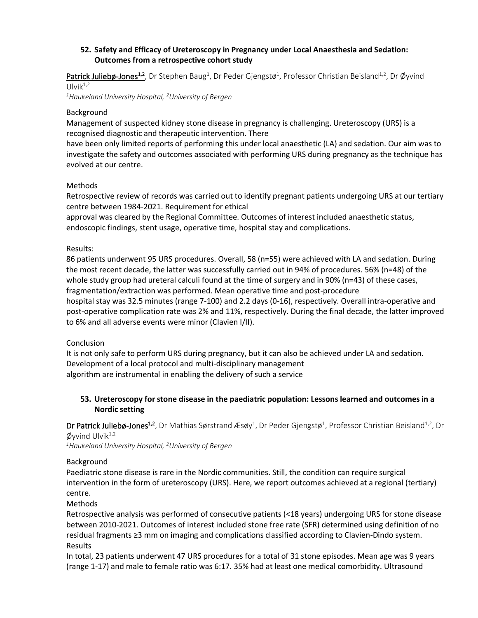## **52. Safety and Efficacy of Ureteroscopy in Pregnancy under Local Anaesthesia and Sedation: Outcomes from a retrospective cohort study**

Patrick Juliebø-Jones<sup>1,2</sup>, Dr Stephen Baug<sup>1</sup>, Dr Peder Gjengstø<sup>1</sup>, Professor Christian Beisland<sup>1,2</sup>, Dr Øyvind Ulvi $k^{1,2}$ 

*<sup>1</sup>Haukeland University Hospital, <sup>2</sup>University of Bergen* 

## Background

Management of suspected kidney stone disease in pregnancy is challenging. Ureteroscopy (URS) is a recognised diagnostic and therapeutic intervention. There

have been only limited reports of performing this under local anaesthetic (LA) and sedation. Our aim was to investigate the safety and outcomes associated with performing URS during pregnancy as the technique has evolved at our centre.

## Methods

Retrospective review of records was carried out to identify pregnant patients undergoing URS at our tertiary centre between 1984-2021. Requirement for ethical

approval was cleared by the Regional Committee. Outcomes of interest included anaesthetic status, endoscopic findings, stent usage, operative time, hospital stay and complications.

## Results:

86 patients underwent 95 URS procedures. Overall, 58 (n=55) were achieved with LA and sedation. During the most recent decade, the latter was successfully carried out in 94% of procedures. 56% (n=48) of the whole study group had ureteral calculi found at the time of surgery and in 90% (n=43) of these cases, fragmentation/extraction was performed. Mean operative time and post-procedure

hospital stay was 32.5 minutes (range 7-100) and 2.2 days (0-16), respectively. Overall intra-operative and post-operative complication rate was 2% and 11%, respectively. During the final decade, the latter improved to 6% and all adverse events were minor (Clavien I/II).

## Conclusion

It is not only safe to perform URS during pregnancy, but it can also be achieved under LA and sedation. Development of a local protocol and multi-disciplinary management algorithm are instrumental in enabling the delivery of such a service

## **53. Ureteroscopy for stone disease in the paediatric population: Lessons learned and outcomes in a Nordic setting**

Dr Patrick Juliebø-Jones<sup>1,2</sup>, Dr Mathias Sørstrand Æsøy<sup>1</sup>, Dr Peder Gjengstø<sup>1</sup>, Professor Christian Beisland<sup>1,2</sup>, Dr  $\emptyset$ yvind Ulvik $^{1,2}$ 

*<sup>1</sup>Haukeland University Hospital, <sup>2</sup>University of Bergen* 

## Background

Paediatric stone disease is rare in the Nordic communities. Still, the condition can require surgical intervention in the form of ureteroscopy (URS). Here, we report outcomes achieved at a regional (tertiary) centre.

Methods

Retrospective analysis was performed of consecutive patients (<18 years) undergoing URS for stone disease between 2010-2021. Outcomes of interest included stone free rate (SFR) determined using definition of no residual fragments ≥3 mm on imaging and complications classified according to Clavien-Dindo system. Results

In total, 23 patients underwent 47 URS procedures for a total of 31 stone episodes. Mean age was 9 years (range 1-17) and male to female ratio was 6:17. 35% had at least one medical comorbidity. Ultrasound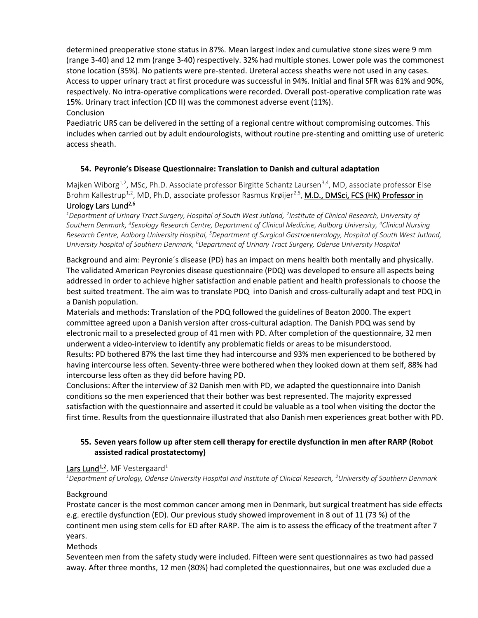determined preoperative stone status in 87%. Mean largest index and cumulative stone sizes were 9 mm (range 3-40) and 12 mm (range 3-40) respectively. 32% had multiple stones. Lower pole was the commonest stone location (35%). No patients were pre-stented. Ureteral access sheaths were not used in any cases. Access to upper urinary tract at first procedure was successful in 94%. Initial and final SFR was 61% and 90%, respectively. No intra-operative complications were recorded. Overall post-operative complication rate was 15%. Urinary tract infection (CD II) was the commonest adverse event (11%). Conclusion

Paediatric URS can be delivered in the setting of a regional centre without compromising outcomes. This includes when carried out by adult endourologists, without routine pre-stenting and omitting use of ureteric access sheath.

## **54. Peyronie's Disease Questionnaire: Translation to Danish and cultural adaptation**

Majken Wiborg<sup>1,2</sup>, MSc, Ph.D. Associate professor Birgitte Schantz Laursen<sup>3,4</sup>, MD, associate professor Else Brohm Kallestrup<sup>1,2</sup>, MD, Ph.D, associate professor Rasmus Krøijer<sup>2,5</sup>, **M.D., DMSci, FCS (HK) Professor in** Urology Lars Lund<sup>2,6</sup>

*<sup>1</sup>Department of Urinary Tract Surgery, Hospital of South West Jutland, <sup>2</sup> Institute of Clinical Research, University of Southern Denmark, <sup>3</sup> Sexology Research Centre, Department of Clinical Medicine, Aalborg University, <sup>4</sup>Clinical Nursing Research Centre, Aalborg University Hospital, <sup>5</sup>Department of Surgical Gastroenterology, Hospital of South West Jutland, University hospital of Southern Denmark, <sup>6</sup>Department of Urinary Tract Surgery, Odense University Hospital*

Background and aim: Peyronie´s disease (PD) has an impact on mens health both mentally and physically. The validated American Peyronies disease questionnaire (PDQ) was developed to ensure all aspects being addressed in order to achieve higher satisfaction and enable patient and health professionals to choose the best suited treatment. The aim was to translate PDQ into Danish and cross-culturally adapt and test PDQ in a Danish population.

Materials and methods: Translation of the PDQ followed the guidelines of Beaton 2000. The expert committee agreed upon a Danish version after cross-cultural adaption. The Danish PDQ was send by electronic mail to a preselected group of 41 men with PD. After completion of the questionnaire, 32 men underwent a video-interview to identify any problematic fields or areas to be misunderstood. Results: PD bothered 87% the last time they had intercourse and 93% men experienced to be bothered by having intercourse less often. Seventy-three were bothered when they looked down at them self, 88% had intercourse less often as they did before having PD.

Conclusions: After the interview of 32 Danish men with PD, we adapted the questionnaire into Danish conditions so the men experienced that their bother was best represented. The majority expressed satisfaction with the questionnaire and asserted it could be valuable as a tool when visiting the doctor the first time. Results from the questionnaire illustrated that also Danish men experiences great bother with PD.

## **55. Seven years follow up after stem cell therapy for erectile dysfunction in men after RARP (Robot assisted radical prostatectomy)**

#### Lars Lund<sup>1,2</sup>, MF Vestergaard<sup>1</sup>

*<sup>1</sup>Department of Urology, Odense University Hospital and Institute of Clinical Research, <sup>2</sup>University of Southern Denmark*

#### Background

Prostate cancer is the most common cancer among men in Denmark, but surgical treatment has side effects e.g. erectile dysfunction (ED). Our previous study showed improvement in 8 out of 11 (73 %) of the continent men using stem cells for ED after RARP. The aim is to assess the efficacy of the treatment after 7 years.

#### Methods

Seventeen men from the safety study were included. Fifteen were sent questionnaires as two had passed away. After three months, 12 men (80%) had completed the questionnaires, but one was excluded due a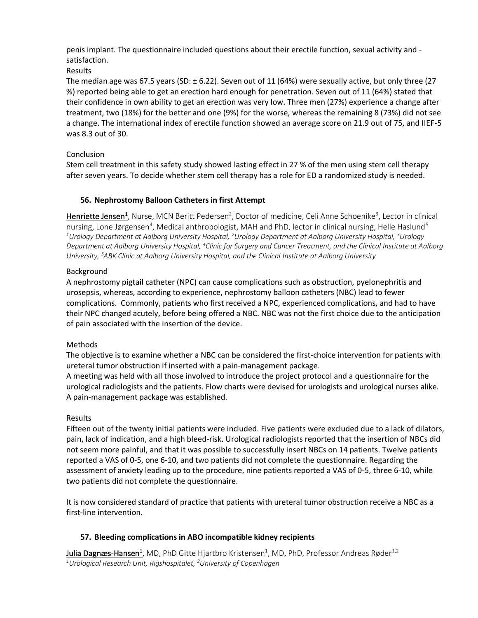penis implant. The questionnaire included questions about their erectile function, sexual activity and satisfaction.

Results

The median age was 67.5 years (SD:  $\pm$  6.22). Seven out of 11 (64%) were sexually active, but only three (27 %) reported being able to get an erection hard enough for penetration. Seven out of 11 (64%) stated that their confidence in own ability to get an erection was very low. Three men (27%) experience a change after treatment, two (18%) for the better and one (9%) for the worse, whereas the remaining 8 (73%) did not see a change. The international index of erectile function showed an average score on 21.9 out of 75, and IIEF-5 was 8.3 out of 30.

## Conclusion

Stem cell treatment in this safety study showed lasting effect in 27 % of the men using stem cell therapy after seven years. To decide whether stem cell therapy has a role for ED a randomized study is needed.

## **56. Nephrostomy Balloon Catheters in first Attempt**

Henriette Jensen<sup>1</sup>, Nurse, MCN Beritt Pedersen<sup>2</sup>, Doctor of medicine, Celi Anne Schoenike<sup>3</sup>, Lector in clinical nursing, Lone Jørgensen<sup>4</sup>, Medical anthropologist, MAH and PhD, lector in clinical nursing, Helle Haslund<sup>5</sup> *<sup>1</sup>Urology Department at Aalborg University Hospital, <sup>2</sup>Urology Department at Aalborg University Hospital, <sup>3</sup>Urology Department at Aalborg University Hospital, <sup>4</sup>Clinic for Surgery and Cancer Treatment, and the Clinical Institute at Aalborg University, <sup>5</sup>ABK Clinic at Aalborg University Hospital, and the Clinical Institute at Aalborg University*

## Background

A nephrostomy pigtail catheter (NPC) can cause complications such as obstruction, pyelonephritis and urosepsis, whereas, according to experience, nephrostomy balloon catheters (NBC) lead to fewer complications. Commonly, patients who first received a NPC, experienced complications, and had to have their NPC changed acutely, before being offered a NBC. NBC was not the first choice due to the anticipation of pain associated with the insertion of the device.

## Methods

The objective is to examine whether a NBC can be considered the first-choice intervention for patients with ureteral tumor obstruction if inserted with a pain-management package.

A meeting was held with all those involved to introduce the project protocol and a questionnaire for the urological radiologists and the patients. Flow charts were devised for urologists and urological nurses alike. A pain-management package was established.

## Results

Fifteen out of the twenty initial patients were included. Five patients were excluded due to a lack of dilators, pain, lack of indication, and a high bleed-risk. Urological radiologists reported that the insertion of NBCs did not seem more painful, and that it was possible to successfully insert NBCs on 14 patients. Twelve patients reported a VAS of 0-5, one 6-10, and two patients did not complete the questionnaire. Regarding the assessment of anxiety leading up to the procedure, nine patients reported a VAS of 0-5, three 6-10, while two patients did not complete the questionnaire.

It is now considered standard of practice that patients with ureteral tumor obstruction receive a NBC as a first-line intervention.

## **57. Bleeding complications in ABO incompatible kidney recipients**

 $\mu$ lia Dagnæs-Hansen $^1$ , MD, PhD Gitte Hjartbro Kristensen $^1$ , MD, PhD, Professor Andreas Røder $^{1,2}$ *1Urological Research Unit, Rigshospitalet, 2University of Copenhagen*